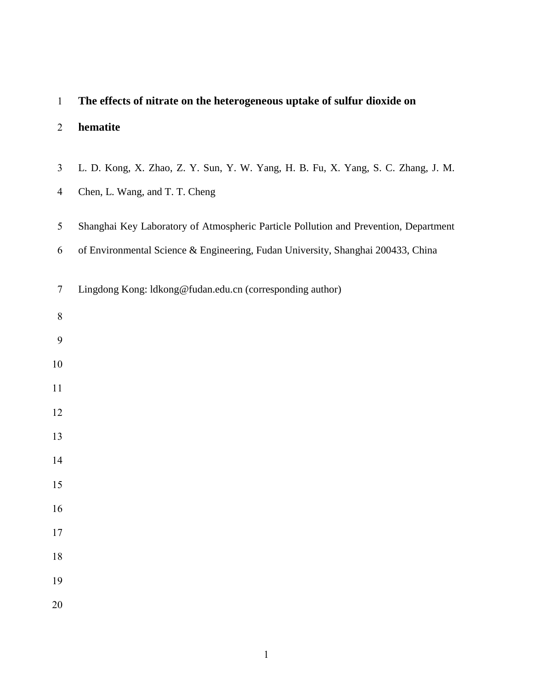| $\mathbf{1}$   | The effects of nitrate on the heterogeneous uptake of sulfur dioxide on              |
|----------------|--------------------------------------------------------------------------------------|
| $\overline{2}$ | hematite                                                                             |
| $\mathfrak{Z}$ | L. D. Kong, X. Zhao, Z. Y. Sun, Y. W. Yang, H. B. Fu, X. Yang, S. C. Zhang, J. M.    |
| $\overline{4}$ | Chen, L. Wang, and T. T. Cheng                                                       |
| 5              | Shanghai Key Laboratory of Atmospheric Particle Pollution and Prevention, Department |
| 6              | of Environmental Science & Engineering, Fudan University, Shanghai 200433, China     |
| $\overline{7}$ | Lingdong Kong: ldkong@fudan.edu.cn (corresponding author)                            |
| $8\,$          |                                                                                      |
| 9              |                                                                                      |
| 10             |                                                                                      |
| 11             |                                                                                      |
| 12             |                                                                                      |
| 13             |                                                                                      |
| 14             |                                                                                      |
| 15             |                                                                                      |
| 16             |                                                                                      |
| 17             |                                                                                      |
| $18\,$         |                                                                                      |
| 19             |                                                                                      |
| 20             |                                                                                      |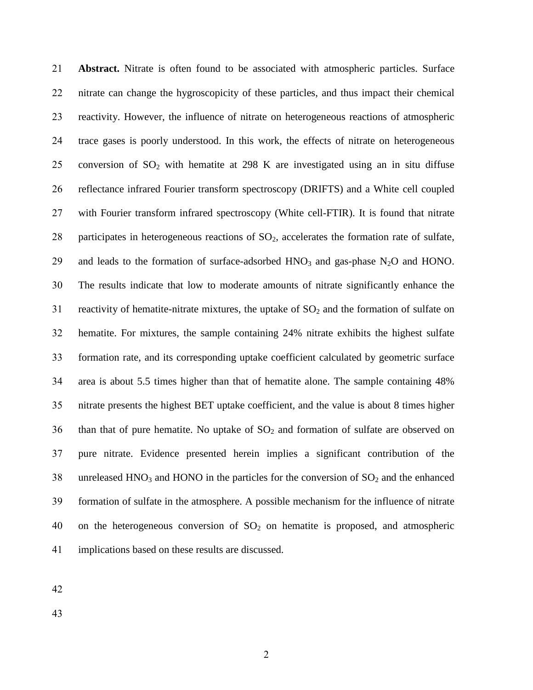**Abstract.** Nitrate is often found to be associated with atmospheric particles. Surface nitrate can change the hygroscopicity of these particles, and thus impact their chemical reactivity. However, the influence of nitrate on heterogeneous reactions of atmospheric trace gases is poorly understood. In this work, the effects of nitrate on heterogeneous 25 conversion of  $SO_2$  with hematite at 298 K are investigated using an in situ diffuse reflectance infrared Fourier transform spectroscopy (DRIFTS) and a White cell coupled with Fourier transform infrared spectroscopy (White cell-FTIR). It is found that nitrate 28 participates in heterogeneous reactions of  $SO<sub>2</sub>$ , accelerates the formation rate of sulfate, 29 and leads to the formation of surface-adsorbed  $HNO<sub>3</sub>$  and gas-phase  $N<sub>2</sub>O$  and HONO. The results indicate that low to moderate amounts of nitrate significantly enhance the 31 reactivity of hematite-nitrate mixtures, the uptake of  $SO<sub>2</sub>$  and the formation of sulfate on hematite. For mixtures, the sample containing 24% nitrate exhibits the highest sulfate formation rate, and its corresponding uptake coefficient calculated by geometric surface area is about 5.5 times higher than that of hematite alone. The sample containing 48% nitrate presents the highest BET uptake coefficient, and the value is about 8 times higher 36 than that of pure hematite. No uptake of  $SO_2$  and formation of sulfate are observed on pure nitrate. Evidence presented herein implies a significant contribution of the 38 unreleased  $HNO<sub>3</sub>$  and  $HONO$  in the particles for the conversion of  $SO<sub>2</sub>$  and the enhanced formation of sulfate in the atmosphere. A possible mechanism for the influence of nitrate 40 on the heterogeneous conversion of  $SO<sub>2</sub>$  on hematite is proposed, and atmospheric implications based on these results are discussed.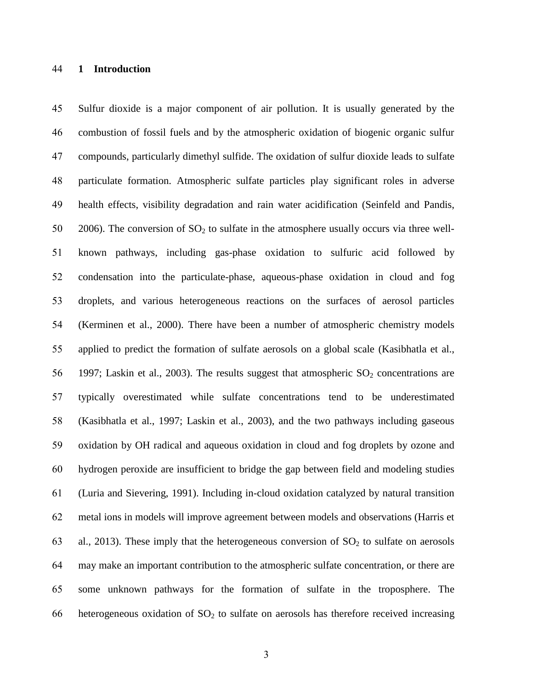### **1 Introduction**

 Sulfur dioxide is a major component of air pollution. It is usually generated by the combustion of fossil fuels and by the atmospheric oxidation of biogenic organic sulfur compounds, particularly dimethyl sulfide. The oxidation of sulfur dioxide leads to sulfate particulate formation. Atmospheric sulfate particles play significant roles in adverse health effects, visibility degradation and rain water acidification (Seinfeld and Pandis, 50 2006). The conversion of  $SO_2$  to sulfate in the atmosphere usually occurs via three well- known pathways, including gas-phase oxidation to sulfuric acid followed by condensation into the particulate-phase, aqueous-phase oxidation in cloud and fog droplets, and various heterogeneous reactions on the surfaces of aerosol particles (Kerminen et al., 2000). There have been a number of atmospheric chemistry models applied to predict the formation of sulfate aerosols on a global scale (Kasibhatla et al., 56 1997; Laskin et al., 2003). The results suggest that atmospheric  $SO_2$  concentrations are typically overestimated while sulfate concentrations tend to be underestimated (Kasibhatla et al., 1997; Laskin et al., 2003), and the two pathways including gaseous oxidation by OH radical and aqueous oxidation in cloud and fog droplets by ozone and hydrogen peroxide are insufficient to bridge the gap between field and modeling studies (Luria and Sievering, 1991). Including in-cloud oxidation catalyzed by natural transition metal ions in models will improve agreement between models and observations (Harris et 63 al., 2013). These imply that the heterogeneous conversion of  $SO<sub>2</sub>$  to sulfate on aerosols may make an important contribution to the atmospheric sulfate concentration, or there are some unknown pathways for the formation of sulfate in the troposphere. The 66 heterogeneous oxidation of  $SO<sub>2</sub>$  to sulfate on aerosols has therefore received increasing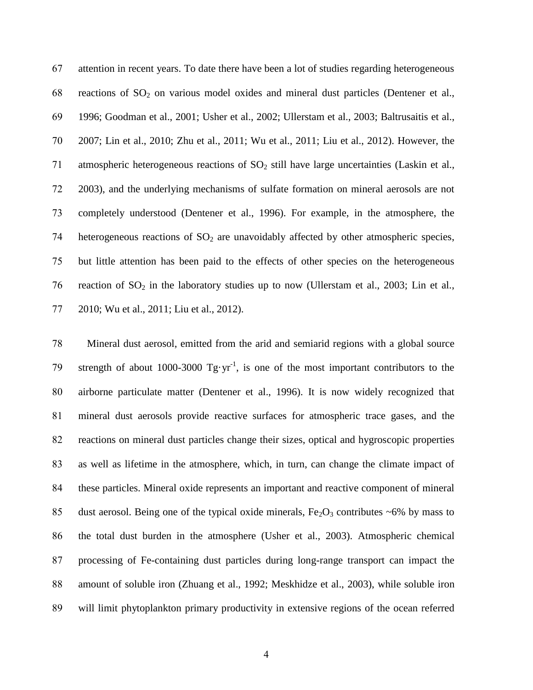attention in recent years. To date there have been a lot of studies regarding heterogeneous 68 reactions of  $SO_2$  on various model oxides and mineral dust particles (Dentener et al., 1996; Goodman et al., 2001; Usher et al., 2002; Ullerstam et al., 2003; Baltrusaitis et al., 2007; Lin et al., 2010; Zhu et al., 2011; Wu et al., 2011; Liu et al., 2012). However, the 71 atmospheric heterogeneous reactions of SO<sub>2</sub> still have large uncertainties (Laskin et al., 2003), and the underlying mechanisms of sulfate formation on mineral aerosols are not completely understood (Dentener et al., 1996). For example, in the atmosphere, the 74 heterogeneous reactions of  $SO<sub>2</sub>$  are unavoidably affected by other atmospheric species, but little attention has been paid to the effects of other species on the heterogeneous 76 reaction of  $SO_2$  in the laboratory studies up to now (Ullerstam et al., 2003; Lin et al., 2010; Wu et al., 2011; Liu et al., 2012).

 Mineral dust aerosol, emitted from the arid and semiarid regions with a global source 79 strength of about 1000-3000  $Tgyr^{-1}$ , is one of the most important contributors to the airborne particulate matter (Dentener et al., 1996). It is now widely recognized that mineral dust aerosols provide reactive surfaces for atmospheric trace gases, and the reactions on mineral dust particles change their sizes, optical and hygroscopic properties as well as lifetime in the atmosphere, which, in turn, can change the climate impact of these particles. Mineral oxide represents an important and reactive component of mineral 85 dust aerosol. Being one of the typical oxide minerals,  $Fe<sub>2</sub>O<sub>3</sub>$  contributes ~6% by mass to the total dust burden in the atmosphere (Usher et al., 2003). Atmospheric chemical processing of Fe-containing dust particles during long-range transport can impact the amount of soluble iron (Zhuang et al., 1992; Meskhidze et al., 2003), while soluble iron will limit phytoplankton primary productivity in extensive regions of the ocean referred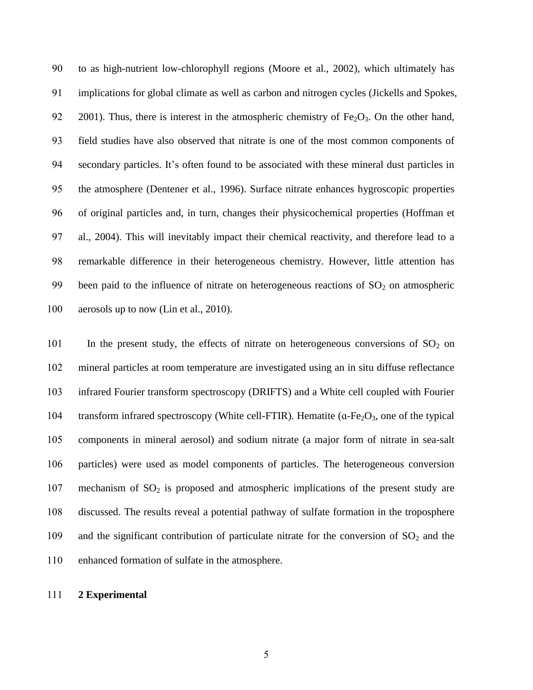to as high-nutrient low-chlorophyll regions (Moore et al., 2002), which ultimately has implications for global climate as well as carbon and nitrogen cycles (Jickells and Spokes, 92 2001). Thus, there is interest in the atmospheric chemistry of  $Fe<sub>2</sub>O<sub>3</sub>$ . On the other hand, field studies have also observed that nitrate is one of the most common components of secondary particles. It's often found to be associated with these mineral dust particles in the atmosphere (Dentener et al., 1996). Surface nitrate enhances hygroscopic properties of original particles and, in turn, changes their physicochemical properties (Hoffman et al., 2004). This will inevitably impact their chemical reactivity, and therefore lead to a remarkable difference in their heterogeneous chemistry. However, little attention has 99 been paid to the influence of nitrate on heterogeneous reactions of  $SO_2$  on atmospheric 100 aerosols up to now (Lin et al., 2010).

101 In the present study, the effects of nitrate on heterogeneous conversions of  $SO_2$  on mineral particles at room temperature are investigated using an in situ diffuse reflectance infrared Fourier transform spectroscopy (DRIFTS) and a White cell coupled with Fourier 104 transform infrared spectroscopy (White cell-FTIR). Hematite ( $\alpha$ -Fe<sub>2</sub>O<sub>3</sub>, one of the typical components in mineral aerosol) and sodium nitrate (a major form of nitrate in sea-salt particles) were used as model components of particles. The heterogeneous conversion 107 mechanism of  $SO_2$  is proposed and atmospheric implications of the present study are discussed. The results reveal a potential pathway of sulfate formation in the troposphere 109 and the significant contribution of particulate nitrate for the conversion of  $SO_2$  and the enhanced formation of sulfate in the atmosphere.

## **2 Experimental**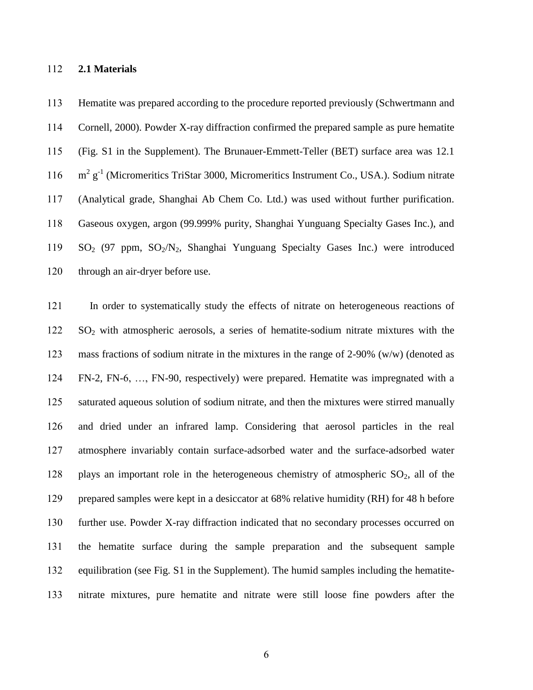### **2.1 Materials**

 Hematite was prepared according to the procedure reported previously (Schwertmann and Cornell, 2000). Powder X-ray diffraction confirmed the prepared sample as pure hematite (Fig. S1 in the Supplement). The Brunauer-Emmett-Teller (BET) surface area was 12.1 116 m<sup>2</sup> g<sup>-1</sup> (Micromeritics TriStar 3000, Micromeritics Instrument Co., USA.). Sodium nitrate (Analytical grade, Shanghai Ab Chem Co. Ltd.) was used without further purification. Gaseous oxygen, argon (99.999% purity, Shanghai Yunguang Specialty Gases Inc.), and SO<sup>2</sup> (97 ppm, SO2/N2, Shanghai Yunguang Specialty Gases Inc.) were introduced through an air-dryer before use.

 In order to systematically study the effects of nitrate on heterogeneous reactions of SO<sup>2</sup> with atmospheric aerosols, a series of hematite-sodium nitrate mixtures with the mass fractions of sodium nitrate in the mixtures in the range of 2-90% (w/w) (denoted as FN-2, FN-6, …, FN-90, respectively) were prepared. Hematite was impregnated with a saturated aqueous solution of sodium nitrate, and then the mixtures were stirred manually and dried under an infrared lamp. Considering that aerosol particles in the real atmosphere invariably contain surface-adsorbed water and the surface-adsorbed water 128 plays an important role in the heterogeneous chemistry of atmospheric  $SO_2$ , all of the prepared samples were kept in a desiccator at 68% relative humidity (RH) for 48 h before further use. Powder X-ray diffraction indicated that no secondary processes occurred on the hematite surface during the sample preparation and the subsequent sample equilibration (see Fig. S1 in the Supplement). The humid samples including the hematite-nitrate mixtures, pure hematite and nitrate were still loose fine powders after the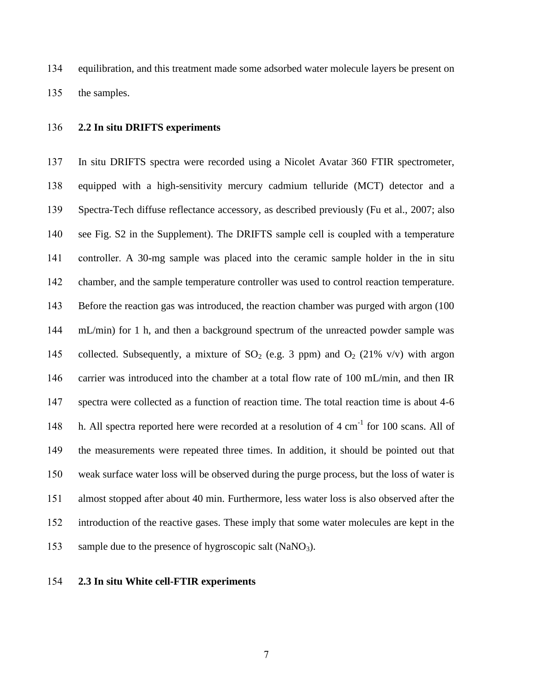equilibration, and this treatment made some adsorbed water molecule layers be present on the samples.

### **2.2 In situ DRIFTS experiments**

 In situ DRIFTS spectra were recorded using a Nicolet Avatar 360 FTIR spectrometer, equipped with a high-sensitivity mercury cadmium telluride (MCT) detector and a Spectra-Tech diffuse reflectance accessory, as described previously (Fu et al., 2007; also see Fig. S2 in the Supplement). The DRIFTS sample cell is coupled with a temperature controller. A 30-mg sample was placed into the ceramic sample holder in the in situ chamber, and the sample temperature controller was used to control reaction temperature. Before the reaction gas was introduced, the reaction chamber was purged with argon (100 mL/min) for 1 h, and then a background spectrum of the unreacted powder sample was 145 collected. Subsequently, a mixture of  $SO_2$  (e.g. 3 ppm) and  $O_2$  (21% v/v) with argon carrier was introduced into the chamber at a total flow rate of 100 mL/min, and then IR spectra were collected as a function of reaction time. The total reaction time is about 4-6 148 h. All spectra reported here were recorded at a resolution of  $4 \text{ cm}^{-1}$  for 100 scans. All of the measurements were repeated three times. In addition, it should be pointed out that weak surface water loss will be observed during the purge process, but the loss of water is almost stopped after about 40 min. Furthermore, less water loss is also observed after the introduction of the reactive gases. These imply that some water molecules are kept in the 153 sample due to the presence of hygroscopic salt  $(NaNO<sub>3</sub>)$ .

## **2.3 In situ White cell-FTIR experiments**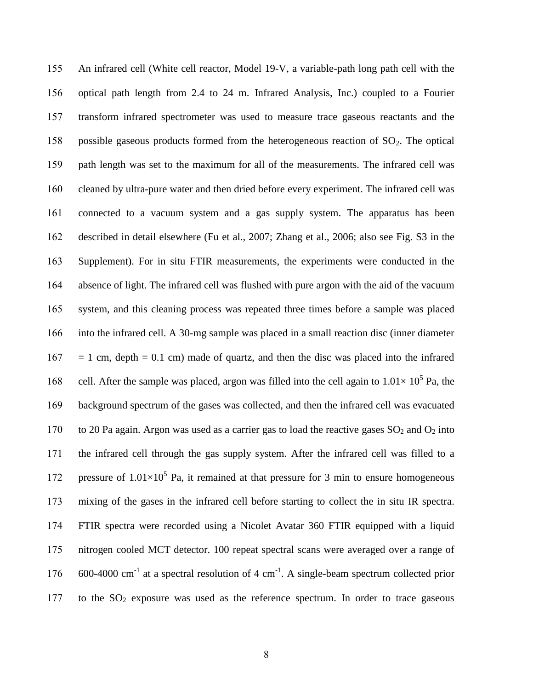An infrared cell (White cell reactor, Model 19-V, a variable-path long path cell with the optical path length from 2.4 to 24 m. Infrared Analysis, Inc.) coupled to a Fourier transform infrared spectrometer was used to measure trace gaseous reactants and the 158 possible gaseous products formed from the heterogeneous reaction of  $SO<sub>2</sub>$ . The optical path length was set to the maximum for all of the measurements. The infrared cell was cleaned by ultra-pure water and then dried before every experiment. The infrared cell was connected to a vacuum system and a gas supply system. The apparatus has been described in detail elsewhere (Fu et al., 2007; Zhang et al., 2006; also see Fig. S3 in the Supplement). For in situ FTIR measurements, the experiments were conducted in the absence of light. The infrared cell was flushed with pure argon with the aid of the vacuum system, and this cleaning process was repeated three times before a sample was placed into the infrared cell. A 30-mg sample was placed in a small reaction disc (inner diameter  $167 = 1$  cm, depth = 0.1 cm) made of quartz, and then the disc was placed into the infrared 168 cell. After the sample was placed, argon was filled into the cell again to  $1.01 \times 10^5$  Pa, the background spectrum of the gases was collected, and then the infrared cell was evacuated 170 to 20 Pa again. Argon was used as a carrier gas to load the reactive gases  $SO_2$  and  $O_2$  into the infrared cell through the gas supply system. After the infrared cell was filled to a 172 pressure of  $1.01 \times 10^5$  Pa, it remained at that pressure for 3 min to ensure homogeneous mixing of the gases in the infrared cell before starting to collect the in situ IR spectra. FTIR spectra were recorded using a Nicolet Avatar 360 FTIR equipped with a liquid nitrogen cooled MCT detector. 100 repeat spectral scans were averaged over a range of  $\,$  600-4000 cm<sup>-1</sup> at a spectral resolution of 4 cm<sup>-1</sup>. A single-beam spectrum collected prior 177 to the  $SO<sub>2</sub>$  exposure was used as the reference spectrum. In order to trace gaseous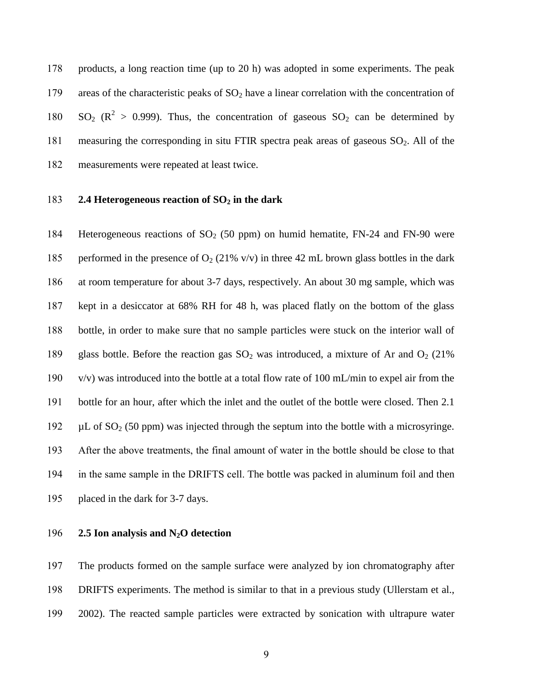products, a long reaction time (up to 20 h) was adopted in some experiments. The peak 179 areas of the characteristic peaks of  $SO_2$  have a linear correlation with the concentration of 180  $SO_2$  ( $\mathbb{R}^2 > 0.999$ ). Thus, the concentration of gaseous  $SO_2$  can be determined by 181 measuring the corresponding in situ FTIR spectra peak areas of gaseous  $SO_2$ . All of the measurements were repeated at least twice.

### **2.4 Heterogeneous reaction of SO<sup>2</sup> in the dark**

184 Heterogeneous reactions of  $SO<sub>2</sub>$  (50 ppm) on humid hematite, FN-24 and FN-90 were 185 performed in the presence of  $O_2$  (21% v/v) in three 42 mL brown glass bottles in the dark at room temperature for about 3-7 days, respectively. An about 30 mg sample, which was kept in a desiccator at 68% RH for 48 h, was placed flatly on the bottom of the glass bottle, in order to make sure that no sample particles were stuck on the interior wall of 189 glass bottle. Before the reaction gas  $SO_2$  was introduced, a mixture of Ar and  $O_2$  (21%) v/v) was introduced into the bottle at a total flow rate of 100 mL/min to expel air from the bottle for an hour, after which the inlet and the outlet of the bottle were closed. Then 2.1  $\mu$ L of SO<sub>2</sub> (50 ppm) was injected through the septum into the bottle with a microsyringe. After the above treatments, the final amount of water in the bottle should be close to that in the same sample in the DRIFTS cell. The bottle was packed in aluminum foil and then placed in the dark for 3-7 days.

**2.5 Ion analysis and N2O detection**

 The products formed on the sample surface were analyzed by ion chromatography after DRIFTS experiments. The method is similar to that in a previous study (Ullerstam et al., 2002). The reacted sample particles were extracted by sonication with ultrapure water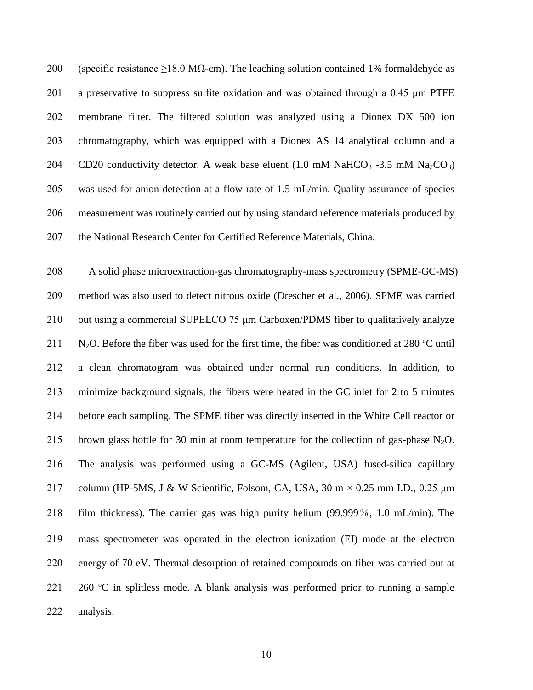200 (specific resistance >18.0 MQ-cm). The leaching solution contained 1% formaldehyde as 201 a preservative to suppress sulfite oxidation and was obtained through a 0.45  $\mu$ m PTFE membrane filter. The filtered solution was analyzed using a Dionex DX 500 ion chromatography, which was equipped with a Dionex AS 14 analytical column and a 204 CD20 conductivity detector. A weak base eluent  $(1.0 \text{ mM } \text{NaHCO}_3 - 3.5 \text{ mM } \text{Na}_2\text{CO}_3)$  was used for anion detection at a flow rate of 1.5 mL/min. Quality assurance of species measurement was routinely carried out by using standard reference materials produced by 207 the National Research Center for Certified Reference Materials, China.

 A solid phase microextraction-gas chromatography-mass spectrometry (SPME-GC-MS) method was also used to detect nitrous oxide (Drescher et al., 2006). SPME was carried out using a commercial SUPELCO 75 μm Carboxen/PDMS fiber to qualitatively analyze 211 N<sub>2</sub>O. Before the fiber was used for the first time, the fiber was conditioned at 280  $\degree$ C until a clean chromatogram was obtained under normal run conditions. In addition, to minimize background signals, the fibers were heated in the GC inlet for 2 to 5 minutes before each sampling. The SPME fiber was directly inserted in the White Cell reactor or 215 brown glass bottle for 30 min at room temperature for the collection of gas-phase  $N_2O$ . The analysis was performed using a GC-MS (Agilent, USA) fused-silica capillary 217 column (HP-5MS, J & W Scientific, Folsom, CA, USA, 30 m  $\times$  0.25 mm I.D., 0.25  $\mu$ m film thickness). The carrier gas was high purity helium (99.999%, 1.0 mL/min). The mass spectrometer was operated in the electron ionization (EI) mode at the electron energy of 70 eV. Thermal desorption of retained compounds on fiber was carried out at 221 260  $\degree$  C in splitless mode. A blank analysis was performed prior to running a sample analysis.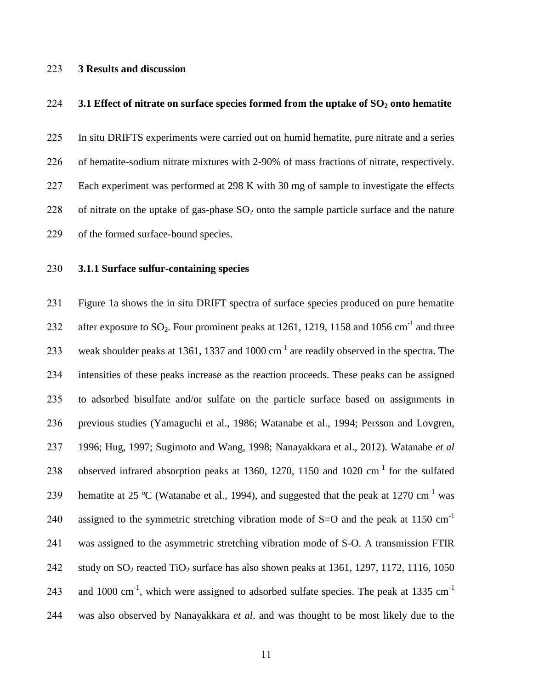## **3 Results and discussion**

### **3.1 Effect of nitrate on surface species formed from the uptake of SO<sup>2</sup> onto hematite**

In situ DRIFTS experiments were carried out on humid hematite, pure nitrate and a series

of hematite-sodium nitrate mixtures with 2-90% of mass fractions of nitrate, respectively.

Each experiment was performed at 298 K with 30 mg of sample to investigate the effects

228 of nitrate on the uptake of gas-phase  $SO_2$  onto the sample particle surface and the nature

of the formed surface-bound species.

## **3.1.1 Surface sulfur-containing species**

 Figure 1a shows the in situ DRIFT spectra of surface species produced on pure hematite 232 after exposure to  $SO_2$ . Four prominent peaks at 1261, 1219, 1158 and 1056 cm<sup>-1</sup> and three 233 weak shoulder peaks at 1361, 1337 and 1000  $\text{cm}^{-1}$  are readily observed in the spectra. The intensities of these peaks increase as the reaction proceeds. These peaks can be assigned to adsorbed bisulfate and/or sulfate on the particle surface based on assignments in previous studies (Yamaguchi et al., 1986; Watanabe et al., 1994; Persson and Lovgren, 1996; Hug, 1997; Sugimoto and Wang, 1998; Nanayakkara et al., 2012). Watanabe *et al* 238 observed infrared absorption peaks at 1360, 1270, 1150 and 1020  $\text{cm}^{-1}$  for the sulfated 239 hematite at 25 °C (Watanabe et al., 1994), and suggested that the peak at 1270 cm<sup>-1</sup> was assigned to the symmetric stretching vibration mode of  $S=O$  and the peak at 1150 cm<sup>-1</sup> was assigned to the asymmetric stretching vibration mode of S-O. A transmission FTIR 242 study on  $SO_2$  reacted TiO<sub>2</sub> surface has also shown peaks at 1361, 1297, 1172, 1116, 1050 and 1000 cm<sup>-1</sup>, which were assigned to adsorbed sulfate species. The peak at 1335 cm<sup>-1</sup> was also observed by Nanayakkara *et al*. and was thought to be most likely due to the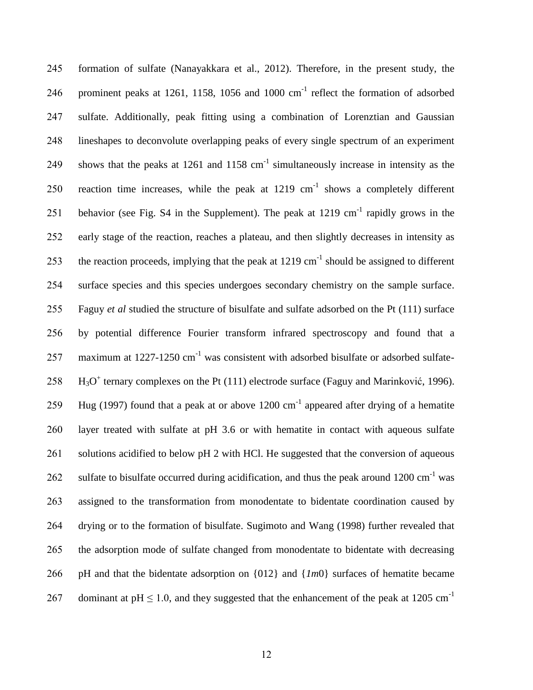245 formation of sulfate (Nanayakkara et al., 2012). Therefore, in the present study, the 246 prominent peaks at 1261, 1158, 1056 and 1000  $\text{cm}^{-1}$  reflect the formation of adsorbed 247 sulfate. Additionally, peak fitting using a combination of Lorenztian and Gaussian 248 lineshapes to deconvolute overlapping peaks of every single spectrum of an experiment 249 shows that the peaks at 1261 and 1158  $cm^{-1}$  simultaneously increase in intensity as the 250 reaction time increases, while the peak at  $1219 \text{ cm}^{-1}$  shows a completely different 251 behavior (see Fig. S4 in the Supplement). The peak at  $1219 \text{ cm}^{-1}$  rapidly grows in the 252 early stage of the reaction, reaches a plateau, and then slightly decreases in intensity as 253 the reaction proceeds, implying that the peak at 1219 cm<sup>-1</sup> should be assigned to different 254 surface species and this species undergoes secondary chemistry on the sample surface. 255 Faguy *et al* studied the structure of bisulfate and sulfate adsorbed on the Pt (111) surface 256 by potential difference Fourier transform infrared spectroscopy and found that a 257 maximum at  $1227-1250$  cm<sup>-1</sup> was consistent with adsorbed bisulfate or adsorbed sulfate- $258$  H<sub>3</sub>O<sup>+</sup> ternary complexes on the Pt (111) electrode surface (Faguy and Marinković, 1996). 259 Hug (1997) found that a peak at or above  $1200 \text{ cm}^{-1}$  appeared after drying of a hematite 260 layer treated with sulfate at pH 3.6 or with hematite in contact with aqueous sulfate 261 solutions acidified to below pH 2 with HCl. He suggested that the conversion of aqueous 262 sulfate to bisulfate occurred during acidification, and thus the peak around 1200 cm<sup>-1</sup> was 263 assigned to the transformation from monodentate to bidentate coordination caused by 264 drying or to the formation of bisulfate. Sugimoto and Wang (1998) further revealed that 265 the adsorption mode of sulfate changed from monodentate to bidentate with decreasing 266 pH and that the bidentate adsorption on {012} and {*1m*0} surfaces of hematite became dominant at  $pH \le 1.0$ , and they suggested that the enhancement of the peak at 1205 cm<sup>-1</sup> 267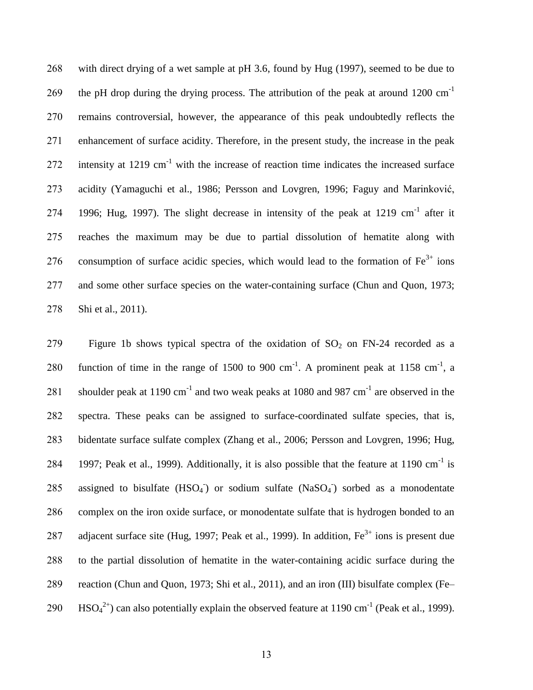268 with direct drying of a wet sample at pH 3.6, found by Hug (1997), seemed to be due to the pH drop during the drying process. The attribution of the peak at around  $1200 \text{ cm}^{-1}$ 269 270 remains controversial, however, the appearance of this peak undoubtedly reflects the 271 enhancement of surface acidity. Therefore, in the present study, the increase in the peak 272 intensity at 1219  $cm^{-1}$  with the increase of reaction time indicates the increased surface 273 acidity (Yamaguchi et al., 1986; Persson and Lovgren, 1996; Faguy and Marinković, 274 1996; Hug, 1997). The slight decrease in intensity of the peak at 1219 cm<sup>-1</sup> after it 275 reaches the maximum may be due to partial dissolution of hematite along with 276 consumption of surface acidic species, which would lead to the formation of  $Fe<sup>3+</sup>$  ions 277 and some other surface species on the water-containing surface (Chun and Quon, 1973; 278 Shi et al., 2011).

279 Figure 1b shows typical spectra of the oxidation of  $SO_2$  on FN-24 recorded as a 280 function of time in the range of 1500 to 900 cm<sup>-1</sup>. A prominent peak at 1158 cm<sup>-1</sup>, a 281 shoulder peak at 1190 cm<sup>-1</sup> and two weak peaks at 1080 and 987 cm<sup>-1</sup> are observed in the 282 spectra. These peaks can be assigned to surface-coordinated sulfate species, that is, 283 bidentate surface sulfate complex (Zhang et al., 2006; Persson and Lovgren, 1996; Hug, 284 1997; Peak et al., 1999). Additionally, it is also possible that the feature at 1190 cm<sup>-1</sup> is 285 assigned to bisulfate  $(HSO_4)$  or sodium sulfate  $(NaSO_4)$  sorbed as a monodentate 286 complex on the iron oxide surface, or monodentate sulfate that is hydrogen bonded to an 287 adjacent surface site (Hug, 1997; Peak et al., 1999). In addition,  $Fe^{3+}$  ions is present due 288 to the partial dissolution of hematite in the water-containing acidic surface during the 289 reaction (Chun and Quon, 1973; Shi et al., 2011), and an iron (III) bisulfate complex (Fe– 290 HSO<sub>4</sub><sup>2+</sup>) can also potentially explain the observed feature at 1190 cm<sup>-1</sup> (Peak et al., 1999).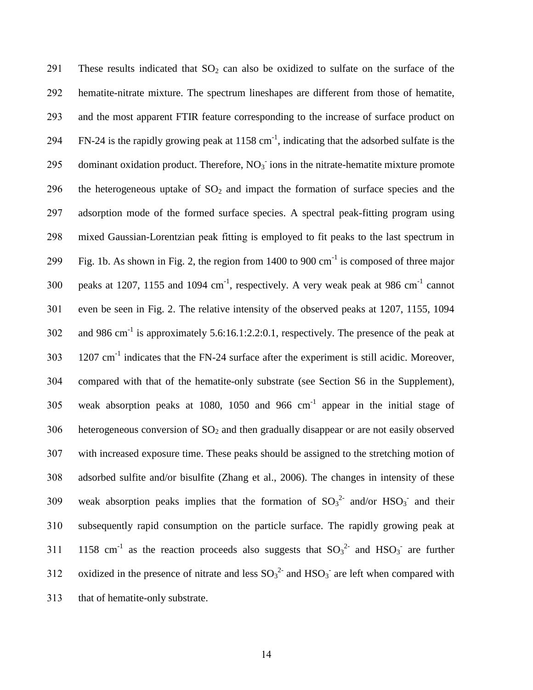291 These results indicated that  $SO_2$  can also be oxidized to sulfate on the surface of the 292 hematite-nitrate mixture. The spectrum lineshapes are different from those of hematite, 293 and the most apparent FTIR feature corresponding to the increase of surface product on 294 FN-24 is the rapidly growing peak at  $1158 \text{ cm}^{-1}$ , indicating that the adsorbed sulfate is the 295 dominant oxidation product. Therefore,  $NO<sub>3</sub>$  ions in the nitrate-hematite mixture promote 296 the heterogeneous uptake of  $SO<sub>2</sub>$  and impact the formation of surface species and the 297 adsorption mode of the formed surface species. A spectral peak-fitting program using 298 mixed Gaussian-Lorentzian peak fitting is employed to fit peaks to the last spectrum in 299 Fig. 1b. As shown in Fig. 2, the region from 1400 to 900 cm<sup>-1</sup> is composed of three major 300 peaks at 1207, 1155 and 1094  $cm^{-1}$ , respectively. A very weak peak at 986  $cm^{-1}$  cannot 301 even be seen in Fig. 2. The relative intensity of the observed peaks at 1207, 1155, 1094 302 and 986 cm<sup>-1</sup> is approximately 5.6:16.1:2.2:0.1, respectively. The presence of the peak at  $1207 \text{ cm}^{-1}$  indicates that the FN-24 surface after the experiment is still acidic. Moreover, 304 compared with that of the hematite-only substrate (see Section S6 in the Supplement), 305 weak absorption peaks at 1080, 1050 and 966  $cm^{-1}$  appear in the initial stage of  $306$  heterogeneous conversion of  $SO<sub>2</sub>$  and then gradually disappear or are not easily observed 307 with increased exposure time. These peaks should be assigned to the stretching motion of 308 adsorbed sulfite and/or bisulfite (Zhang et al., 2006). The changes in intensity of these 309 weak absorption peaks implies that the formation of  $SO_3^2$  and/or  $HSO_3$  and their 310 subsequently rapid consumption on the particle surface. The rapidly growing peak at 311 1158 cm<sup>-1</sup> as the reaction proceeds also suggests that  $SO_3^2$  and  $HSO_3^-$  are further 312 oxidized in the presence of nitrate and less  ${SO_3}^{2-}$  and  $HSO_3^-$  are left when compared with 313 that of hematite-only substrate.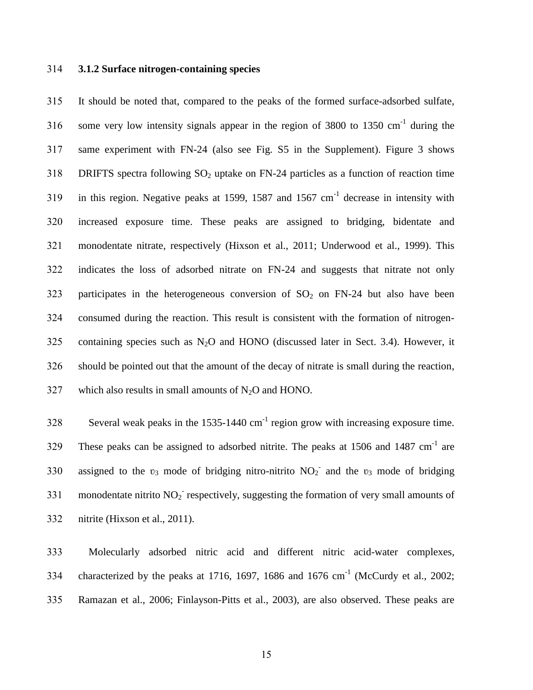### 314 **3.1.2 Surface nitrogen-containing species**

315 It should be noted that, compared to the peaks of the formed surface-adsorbed sulfate, 316 some very low intensity signals appear in the region of 3800 to 1350 cm<sup>-1</sup> during the 317 same experiment with FN-24 (also see Fig. S5 in the Supplement). Figure 3 shows 318 DRIFTS spectra following  $SO_2$  uptake on FN-24 particles as a function of reaction time 319 in this region. Negative peaks at 1599, 1587 and 1567  $cm^{-1}$  decrease in intensity with 320 increased exposure time. These peaks are assigned to bridging, bidentate and 321 monodentate nitrate, respectively (Hixson et al., 2011; Underwood et al., 1999). This 322 indicates the loss of adsorbed nitrate on FN-24 and suggests that nitrate not only 323 participates in the heterogeneous conversion of  $SO<sub>2</sub>$  on FN-24 but also have been 324 consumed during the reaction. This result is consistent with the formation of nitrogen-325 containing species such as  $N_2O$  and HONO (discussed later in Sect. 3.4). However, it 326 should be pointed out that the amount of the decay of nitrate is small during the reaction,  $327$  which also results in small amounts of N<sub>2</sub>O and HONO.

328 Several weak peaks in the  $1535-1440 \text{ cm}^{-1}$  region grow with increasing exposure time. 329 These peaks can be assigned to adsorbed nitrite. The peaks at 1506 and 1487  $cm^{-1}$  are 330 assigned to the  $v_3$  mode of bridging nitro-nitrito  $NO_2$  and the  $v_3$  mode of bridging 331 monodentate nitrito  $NO<sub>2</sub>$  respectively, suggesting the formation of very small amounts of 332 nitrite (Hixson et al., 2011).

333 Molecularly adsorbed nitric acid and different nitric acid-water complexes, 334 characterized by the peaks at 1716, 1697, 1686 and 1676  $cm^{-1}$  (McCurdy et al., 2002; 335 Ramazan et al., 2006; Finlayson-Pitts et al., 2003), are also observed. These peaks are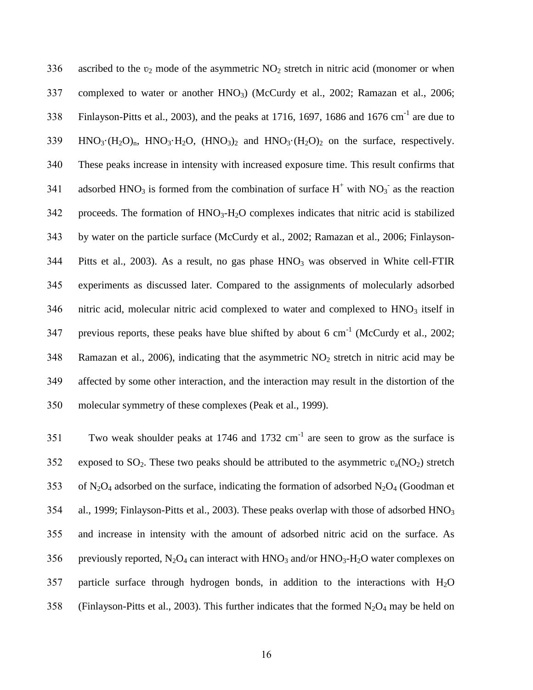336 ascribed to the  $v_2$  mode of the asymmetric  $NO_2$  stretch in nitric acid (monomer or when 337 complexed to water or another HNO<sub>3</sub>) (McCurdy et al., 2002; Ramazan et al., 2006; 338 Finlayson-Pitts et al., 2003), and the peaks at 1716, 1697, 1686 and 1676 cm<sup>-1</sup> are due to  $339$  HNO<sub>3</sub> (H<sub>2</sub>O)<sub>n</sub>, HNO<sub>3</sub> H<sub>2</sub>O, (HNO<sub>3</sub>)<sub>2</sub> and HNO<sub>3</sub> (H<sub>2</sub>O)<sub>2</sub> on the surface, respectively. 340 These peaks increase in intensity with increased exposure time. This result confirms that 341 adsorbed HNO<sub>3</sub> is formed from the combination of surface H<sup>+</sup> with NO<sub>3</sub><sup>-</sup> as the reaction  $342$  proceeds. The formation of  $HNO<sub>3</sub>-H<sub>2</sub>O$  complexes indicates that nitric acid is stabilized 343 by water on the particle surface (McCurdy et al., 2002; Ramazan et al., 2006; Finlayson-344 Pitts et al., 2003). As a result, no gas phase  $HNO<sub>3</sub>$  was observed in White cell-FTIR 345 experiments as discussed later. Compared to the assignments of molecularly adsorbed  $346$  nitric acid, molecular nitric acid complexed to water and complexed to  $HNO<sub>3</sub>$  itself in 347 previous reports, these peaks have blue shifted by about 6 cm<sup>-1</sup> (McCurdy et al., 2002; 348 Ramazan et al., 2006), indicating that the asymmetric  $NO<sub>2</sub>$  stretch in nitric acid may be 349 affected by some other interaction, and the interaction may result in the distortion of the 350 molecular symmetry of these complexes (Peak et al., 1999).

351 Two weak shoulder peaks at 1746 and 1732  $cm^{-1}$  are seen to grow as the surface is 352 exposed to  $SO_2$ . These two peaks should be attributed to the asymmetric  $v_a(NO_2)$  stretch 353 of N<sub>2</sub>O<sub>4</sub> adsorbed on the surface, indicating the formation of adsorbed N<sub>2</sub>O<sub>4</sub> (Goodman et 354 al., 1999; Finlayson-Pitts et al., 2003). These peaks overlap with those of adsorbed HNO<sub>3</sub> 355 and increase in intensity with the amount of adsorbed nitric acid on the surface. As 356 previously reported,  $N_2O_4$  can interact with  $HNO_3$  and/or  $HNO_3$ -H<sub>2</sub>O water complexes on 357 particle surface through hydrogen bonds, in addition to the interactions with  $H_2O$ 358 (Finlayson-Pitts et al., 2003). This further indicates that the formed  $N_2O_4$  may be held on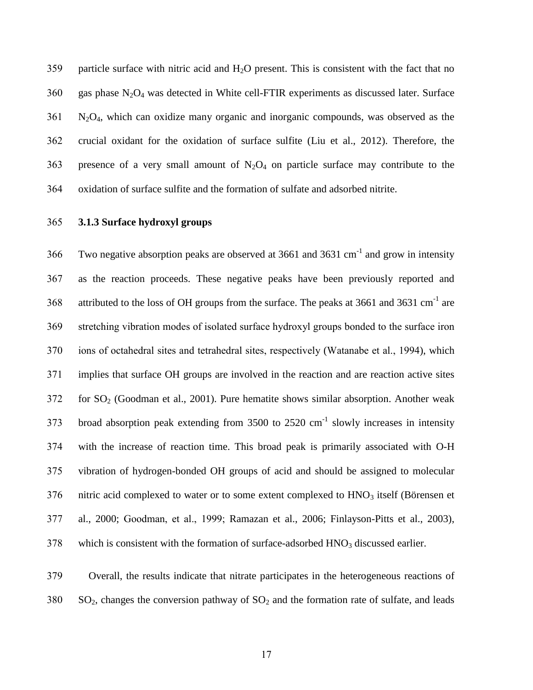359 particle surface with nitric acid and  $H_2O$  present. This is consistent with the fact that no gas phase N<sub>2</sub>O<sub>4</sub> was detected in White cell-FTIR experiments as discussed later. Surface N2O4, which can oxidize many organic and inorganic compounds, was observed as the crucial oxidant for the oxidation of surface sulfite (Liu et al., 2012). Therefore, the 363 presence of a very small amount of  $N_2O_4$  on particle surface may contribute to the oxidation of surface sulfite and the formation of sulfate and adsorbed nitrite.

## **3.1.3 Surface hydroxyl groups**

366 Two negative absorption peaks are observed at 3661 and 3631 cm<sup>-1</sup> and grow in intensity as the reaction proceeds. These negative peaks have been previously reported and 368 attributed to the loss of OH groups from the surface. The peaks at 3661 and 3631 cm<sup>-1</sup> are stretching vibration modes of isolated surface hydroxyl groups bonded to the surface iron ions of octahedral sites and tetrahedral sites, respectively (Watanabe et al., 1994), which implies that surface OH groups are involved in the reaction and are reaction active sites for  $SO<sub>2</sub>$  (Goodman et al., 2001). Pure hematite shows similar absorption. Another weak 373 broad absorption peak extending from to  $2520$  cm<sup>-1</sup> slowly increases in intensity with the increase of reaction time. This broad peak is primarily associated with O-H vibration of hydrogen-bonded OH groups of acid and should be assigned to molecular nitric acid complexed to water or to some extent complexed to HNO<sub>3</sub> itself (Börensen et al., 2000; Goodman, et al., 1999; Ramazan et al., 2006; Finlayson-Pitts et al., 2003), which is consistent with the formation of surface-adsorbed HNO<sub>3</sub> discussed earlier.

 Overall, the results indicate that nitrate participates in the heterogeneous reactions of SO<sub>2</sub>, changes the conversion pathway of SO<sub>2</sub> and the formation rate of sulfate, and leads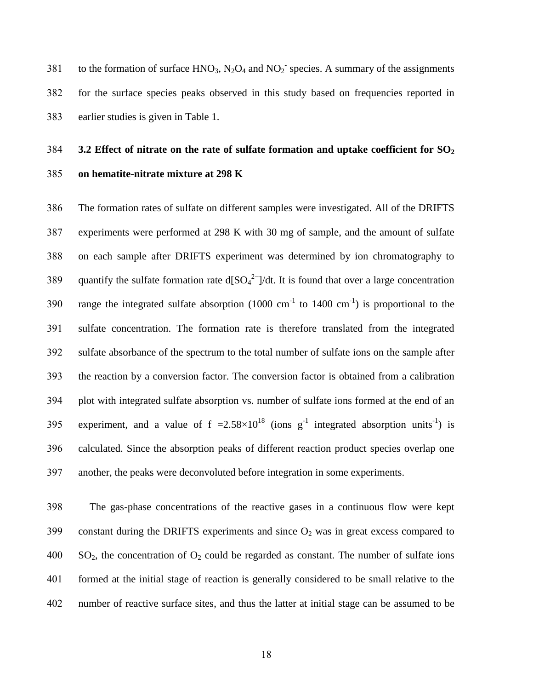381 to the formation of surface  $HNO<sub>3</sub>$ ,  $N<sub>2</sub>O<sub>4</sub>$  and  $NO<sub>2</sub><sup>-</sup>$  species. A summary of the assignments for the surface species peaks observed in this study based on frequencies reported in earlier studies is given in Table 1.

## **3.2 Effect of nitrate on the rate of sulfate formation and uptake coefficient for SO<sup>2</sup> on hematite-nitrate mixture at 298 K**

 The formation rates of sulfate on different samples were investigated. All of the DRIFTS experiments were performed at 298 K with 30 mg of sample, and the amount of sulfate on each sample after DRIFTS experiment was determined by ion chromatography to 389 quantify the sulfate formation rate d[ $SO_4^2$ ]/dt. It is found that over a large concentration 390 range the integrated sulfate absorption  $(1000 \text{ cm}^{-1}$  to  $1400 \text{ cm}^{-1})$  is proportional to the sulfate concentration. The formation rate is therefore translated from the integrated sulfate absorbance of the spectrum to the total number of sulfate ions on the sample after the reaction by a conversion factor. The conversion factor is obtained from a calibration plot with integrated sulfate absorption vs. number of sulfate ions formed at the end of an 395 experiment, and a value of  $f = 2.58 \times 10^{18}$  (ions g<sup>-1</sup> integrated absorption units<sup>-1</sup>) is calculated. Since the absorption peaks of different reaction product species overlap one another, the peaks were deconvoluted before integration in some experiments.

 The gas-phase concentrations of the reactive gases in a continuous flow were kept 399 constant during the DRIFTS experiments and since  $O_2$  was in great excess compared to SO<sub>2</sub>, the concentration of O<sub>2</sub> could be regarded as constant. The number of sulfate ions formed at the initial stage of reaction is generally considered to be small relative to the number of reactive surface sites, and thus the latter at initial stage can be assumed to be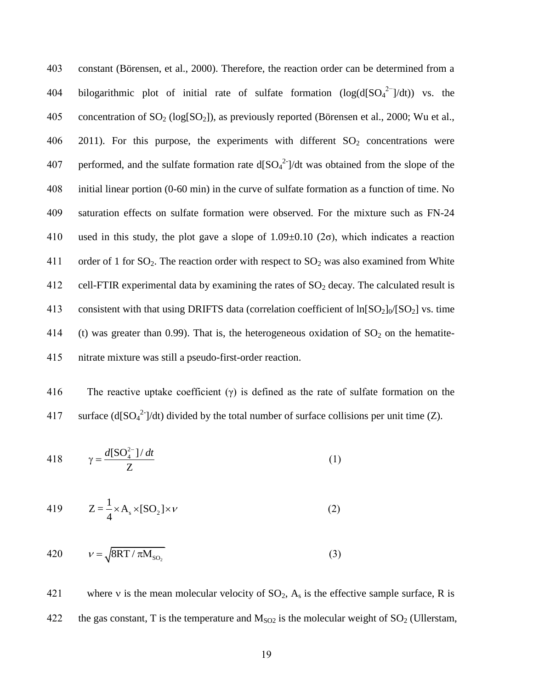403 constant (Börensen, et al., 2000). Therefore, the reaction order can be determined from a 404 bilogarithmic plot of initial rate of sulfate formation  $(log(d[SO_4^2^-]/dt))$  vs. the 405 concentration of  $SO_2$  (log[ $SO_2$ ]), as previously reported (B örensen et al., 2000; Wu et al., 406 2011). For this purpose, the experiments with different  $SO<sub>2</sub>$  concentrations were 407 performed, and the sulfate formation rate  $d[SO_4^2]/dt$  was obtained from the slope of the 408 initial linear portion (0-60 min) in the curve of sulfate formation as a function of time. No 409 saturation effects on sulfate formation were observed. For the mixture such as FN-24 410 used in this study, the plot gave a slope of  $1.09 \pm 0.10$  ( $2\sigma$ ), which indicates a reaction 411 order of 1 for  $SO_2$ . The reaction order with respect to  $SO_2$  was also examined from White 412 cell-FTIR experimental data by examining the rates of  $SO_2$  decay. The calculated result is 413 consistent with that using DRIFTS data (correlation coefficient of  $ln[SO_2]_0/[SO_2]$  vs. time 414 (t) was greater than 0.99). That is, the heterogeneous oxidation of  $SO_2$  on the hematite-415 nitrate mixture was still a pseudo-first-order reaction.

416 The reactive uptake coefficient  $(y)$  is defined as the rate of sulfate formation on the 417 surface (d[SO<sub>4</sub><sup>2-</sup>]/dt) divided by the total number of surface collisions per unit time (Z).

418 
$$
\gamma = \frac{d[\mathrm{SO}_4^{2-}]/dt}{Z} \tag{1}
$$

419 
$$
Z = \frac{1}{4} \times A_s \times [SO_2] \times \nu
$$
 (2)

$$
420 \qquad \nu = \sqrt{8RT / \pi M_{\text{SO}_2}}
$$
 (3)

421 where v is the mean molecular velocity of  $SO_2$ ,  $A_s$  is the effective sample surface, R is 422 the gas constant, T is the temperature and  $M_{SO2}$  is the molecular weight of  $SO<sub>2</sub>$  (Ullerstam,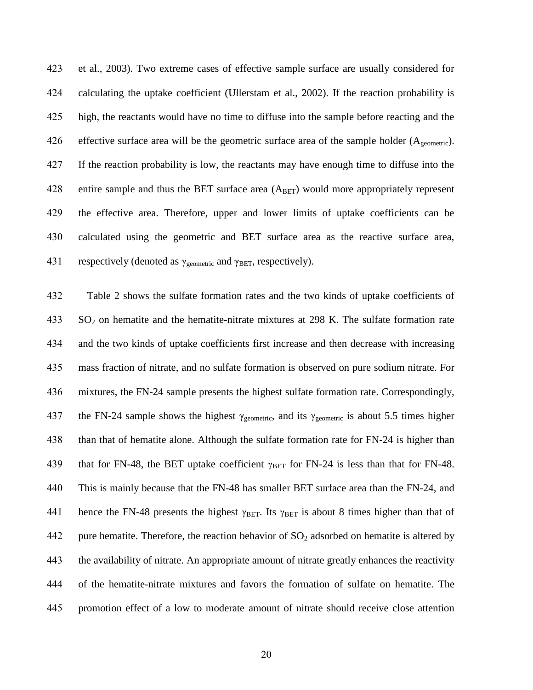et al., 2003). Two extreme cases of effective sample surface are usually considered for calculating the uptake coefficient (Ullerstam et al., 2002). If the reaction probability is high, the reactants would have no time to diffuse into the sample before reacting and the 426 effective surface area will be the geometric surface area of the sample holder  $(A_{\text{geometric}})$ . If the reaction probability is low, the reactants may have enough time to diffuse into the 428 entire sample and thus the BET surface area  $(A<sub>BET</sub>)$  would more appropriately represent the effective area. Therefore, upper and lower limits of uptake coefficients can be calculated using the geometric and BET surface area as the reactive surface area, 431 respectively (denoted as  $\gamma_{\text{geometric}}$  and  $\gamma_{\text{BET}}$ , respectively).

 Table 2 shows the sulfate formation rates and the two kinds of uptake coefficients of SO<sub>2</sub> on hematite and the hematite-nitrate mixtures at 298 K. The sulfate formation rate and the two kinds of uptake coefficients first increase and then decrease with increasing mass fraction of nitrate, and no sulfate formation is observed on pure sodium nitrate. For mixtures, the FN-24 sample presents the highest sulfate formation rate. Correspondingly, 437 the FN-24 sample shows the highest  $\gamma_{\text{geometric}}$ , and its  $\gamma_{\text{geometric}}$  is about 5.5 times higher than that of hematite alone. Although the sulfate formation rate for FN-24 is higher than 439 that for FN-48, the BET uptake coefficient  $\gamma_{\text{BET}}$  for FN-24 is less than that for FN-48. This is mainly because that the FN-48 has smaller BET surface area than the FN-24, and 441 hence the FN-48 presents the highest  $\gamma_{BET}$ . Its  $\gamma_{BET}$  is about 8 times higher than that of 442 pure hematite. Therefore, the reaction behavior of  $SO_2$  adsorbed on hematite is altered by the availability of nitrate. An appropriate amount of nitrate greatly enhances the reactivity of the hematite-nitrate mixtures and favors the formation of sulfate on hematite. The promotion effect of a low to moderate amount of nitrate should receive close attention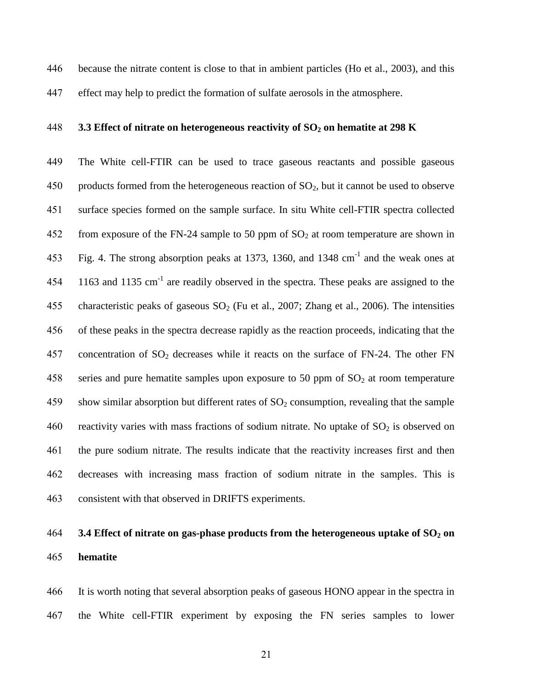because the nitrate content is close to that in ambient particles (Ho et al., 2003), and this

effect may help to predict the formation of sulfate aerosols in the atmosphere.

### **3.3 Effect of nitrate on heterogeneous reactivity of SO<sup>2</sup> on hematite at 298 K**

 The White cell-FTIR can be used to trace gaseous reactants and possible gaseous 450 products formed from the heterogeneous reaction of  $SO_2$ , but it cannot be used to observe surface species formed on the sample surface. In situ White cell-FTIR spectra collected 452 from exposure of the FN-24 sample to 50 ppm of  $SO<sub>2</sub>$  at room temperature are shown in 453 Fig. 4. The strong absorption peaks at 1373, 1360, and 1348  $cm^{-1}$  and the weak ones at and  $1135$  cm<sup>-1</sup> are readily observed in the spectra. These peaks are assigned to the 455 characteristic peaks of gaseous  $SO_2$  (Fu et al., 2007; Zhang et al., 2006). The intensities of these peaks in the spectra decrease rapidly as the reaction proceeds, indicating that the 457 concentration of  $SO_2$  decreases while it reacts on the surface of FN-24. The other FN 458 series and pure hematite samples upon exposure to 50 ppm of  $SO<sub>2</sub>$  at room temperature 459 show similar absorption but different rates of  $SO<sub>2</sub>$  consumption, revealing that the sample 460 reactivity varies with mass fractions of sodium nitrate. No uptake of  $SO_2$  is observed on the pure sodium nitrate. The results indicate that the reactivity increases first and then decreases with increasing mass fraction of sodium nitrate in the samples. This is consistent with that observed in DRIFTS experiments.

# **3.4 Effect of nitrate on gas-phase products from the heterogeneous uptake of SO<sup>2</sup> on hematite**

 It is worth noting that several absorption peaks of gaseous HONO appear in the spectra in the White cell-FTIR experiment by exposing the FN series samples to lower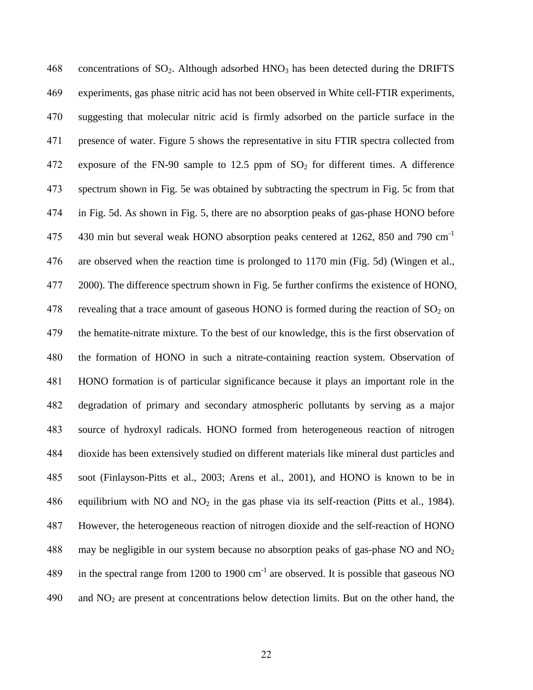468 concentrations of  $SO_2$ . Although adsorbed  $HNO_3$  has been detected during the DRIFTS experiments, gas phase nitric acid has not been observed in White cell-FTIR experiments, suggesting that molecular nitric acid is firmly adsorbed on the particle surface in the presence of water. Figure 5 shows the representative in situ FTIR spectra collected from 472 exposure of the FN-90 sample to  $12.5$  ppm of  $SO<sub>2</sub>$  for different times. A difference spectrum shown in Fig. 5e was obtained by subtracting the spectrum in Fig. 5c from that in Fig. 5d. As shown in Fig. 5, there are no absorption peaks of gas-phase HONO before 430 min but several weak HONO absorption peaks centered at 1262, 850 and 790 cm<sup>-1</sup> are observed when the reaction time is prolonged to 1170 min (Fig. 5d) (Wingen et al., 2000). The difference spectrum shown in Fig. 5e further confirms the existence of HONO, 478 revealing that a trace amount of gaseous HONO is formed during the reaction of  $SO_2$  on the hematite-nitrate mixture. To the best of our knowledge, this is the first observation of the formation of HONO in such a nitrate-containing reaction system. Observation of HONO formation is of particular significance because it plays an important role in the degradation of primary and secondary atmospheric pollutants by serving as a major source of hydroxyl radicals. HONO formed from heterogeneous reaction of nitrogen dioxide has been extensively studied on different materials like mineral dust particles and soot (Finlayson-Pitts et al., 2003; Arens et al., 2001), and HONO is known to be in 486 equilibrium with NO and NO<sub>2</sub> in the gas phase via its self-reaction (Pitts et al., 1984). However, the heterogeneous reaction of nitrogen dioxide and the self-reaction of HONO 488 may be negligible in our system because no absorption peaks of gas-phase NO and  $NO<sub>2</sub>$ 489 in the spectral range from 1200 to 1900  $\text{cm}^{-1}$  are observed. It is possible that gaseous NO and  $NO<sub>2</sub>$  are present at concentrations below detection limits. But on the other hand, the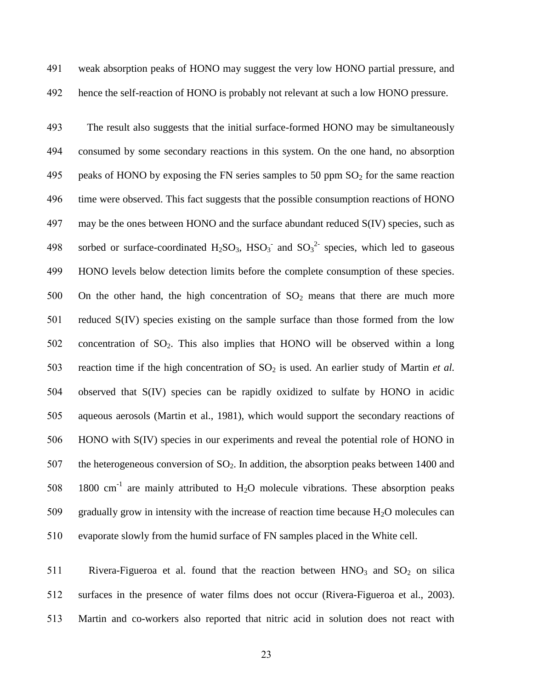- 491 weak absorption peaks of HONO may suggest the very low HONO partial pressure, and
	-

492 hence the self-reaction of HONO is probably not relevant at such a low HONO pressure.

493 The result also suggests that the initial surface-formed HONO may be simultaneously 494 consumed by some secondary reactions in this system. On the one hand, no absorption 495 peaks of HONO by exposing the FN series samples to 50 ppm  $SO<sub>2</sub>$  for the same reaction 496 time were observed. This fact suggests that the possible consumption reactions of HONO 497 may be the ones between HONO and the surface abundant reduced S(IV) species, such as 498 sorbed or surface-coordinated  $H_2SO_3$ ,  $HSO_3^-$  and  $SO_3^2^-$  species, which led to gaseous 499 HONO levels below detection limits before the complete consumption of these species. 500 On the other hand, the high concentration of  $SO_2$  means that there are much more 501 reduced S(IV) species existing on the sample surface than those formed from the low 502 concentration of  $SO_2$ . This also implies that HONO will be observed within a long 503 reaction time if the high concentration of  $SO_2$  is used. An earlier study of Martin *et al.* 504 observed that S(IV) species can be rapidly oxidized to sulfate by HONO in acidic 505 aqueous aerosols (Martin et al., 1981), which would support the secondary reactions of 506 HONO with S(IV) species in our experiments and reveal the potential role of HONO in 507 the heterogeneous conversion of  $SO<sub>2</sub>$ . In addition, the absorption peaks between 1400 and 508 1800 cm<sup>-1</sup> are mainly attributed to  $H_2O$  molecule vibrations. These absorption peaks 509 gradually grow in intensity with the increase of reaction time because  $H_2O$  molecules can 510 evaporate slowly from the humid surface of FN samples placed in the White cell.

511 Rivera-Figueroa et al. found that the reaction between  $HNO<sub>3</sub>$  and  $SO<sub>2</sub>$  on silica 512 surfaces in the presence of water films does not occur (Rivera-Figueroa et al., 2003). 513 Martin and co-workers also reported that nitric acid in solution does not react with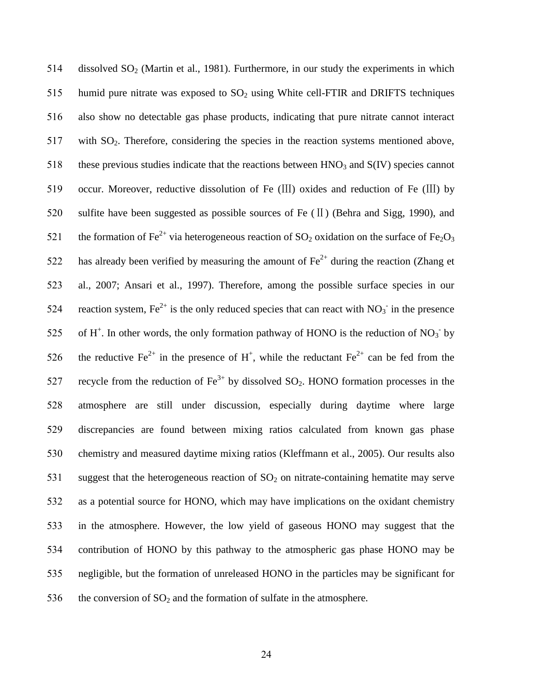514 dissolved  $SO<sub>2</sub>$  (Martin et al., 1981). Furthermore, in our study the experiments in which 515 humid pure nitrate was exposed to  $SO_2$  using White cell-FTIR and DRIFTS techniques 516 also show no detectable gas phase products, indicating that pure nitrate cannot interact 517 with SO2. Therefore, considering the species in the reaction systems mentioned above, 518 these previous studies indicate that the reactions between  $HNO<sub>3</sub>$  and  $S(IV)$  species cannot 519 occur. Moreover, reductive dissolution of Fe (III) oxides and reduction of Fe (III) by 520 sulfite have been suggested as possible sources of Fe (II) (Behra and Sigg, 1990), and 521 the formation of Fe<sup>2+</sup> via heterogeneous reaction of SO<sub>2</sub> oxidation on the surface of Fe<sub>2</sub>O<sub>3</sub> 522 has already been verified by measuring the amount of  $\text{Fe}^{2+}$  during the reaction (Zhang et 523 al., 2007; Ansari et al., 1997). Therefore, among the possible surface species in our 524 reaction system,  $Fe^{2+}$  is the only reduced species that can react with  $NO_3^-$  in the presence 525 of H<sup>+</sup>. In other words, the only formation pathway of HONO is the reduction of NO<sub>3</sub> by 526 the reductive Fe<sup>2+</sup> in the presence of H<sup>+</sup>, while the reductant Fe<sup>2+</sup> can be fed from the 527 recycle from the reduction of  $Fe^{3+}$  by dissolved SO<sub>2</sub>. HONO formation processes in the 528 atmosphere are still under discussion, especially during daytime where large 529 discrepancies are found between mixing ratios calculated from known gas phase 530 chemistry and measured daytime mixing ratios (Kleffmann et al., 2005). Our results also 531 suggest that the heterogeneous reaction of  $SO<sub>2</sub>$  on nitrate-containing hematite may serve 532 as a potential source for HONO, which may have implications on the oxidant chemistry 533 in the atmosphere. However, the low yield of gaseous HONO may suggest that the 534 contribution of HONO by this pathway to the atmospheric gas phase HONO may be 535 negligible, but the formation of unreleased HONO in the particles may be significant for 536 the conversion of  $SO_2$  and the formation of sulfate in the atmosphere.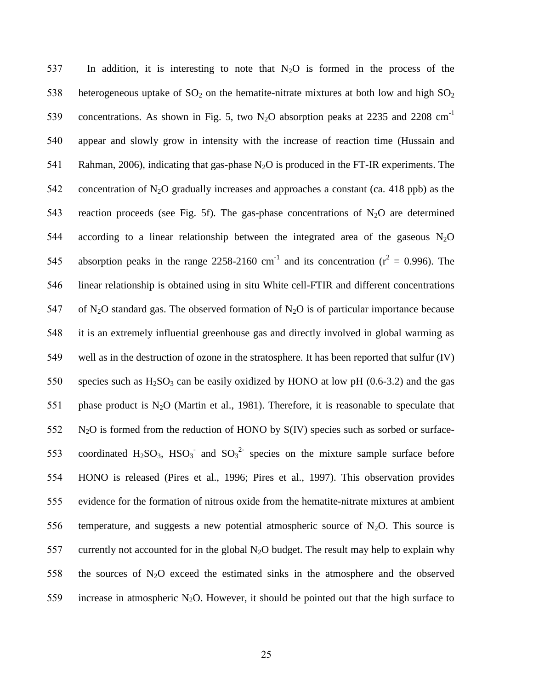537 In addition, it is interesting to note that  $N_2O$  is formed in the process of the 538 heterogeneous uptake of  $SO_2$  on the hematite-nitrate mixtures at both low and high  $SO_2$ concentrations. As shown in Fig. 5, two N<sub>2</sub>O absorption peaks at 2235 and 2208 cm<sup>-1</sup> 539 540 appear and slowly grow in intensity with the increase of reaction time (Hussain and 541 Rahman, 2006), indicating that gas-phase  $N_2O$  is produced in the FT-IR experiments. The 542 concentration of  $N_2O$  gradually increases and approaches a constant (ca. 418 ppb) as the 543 reaction proceeds (see Fig. 5f). The gas-phase concentrations of  $N_2O$  are determined 544 according to a linear relationship between the integrated area of the gaseous  $N_2O$ 545 absorption peaks in the range 2258-2160 cm<sup>-1</sup> and its concentration ( $r^2 = 0.996$ ). The 546 linear relationship is obtained using in situ White cell-FTIR and different concentrations 547 of N<sub>2</sub>O standard gas. The observed formation of N<sub>2</sub>O is of particular importance because 548 it is an extremely influential greenhouse gas and directly involved in global warming as 549 well as in the destruction of ozone in the stratosphere. It has been reported that sulfur (IV) 550 species such as  $H_2SO_3$  can be easily oxidized by HONO at low pH (0.6-3.2) and the gas 551 phase product is  $N_2O$  (Martin et al., 1981). Therefore, it is reasonable to speculate that  $552$  N<sub>2</sub>O is formed from the reduction of HONO by S(IV) species such as sorbed or surface-553 coordinated  $H_2SO_3$ ,  $HSO_3^-$  and  $SO_3^2$  species on the mixture sample surface before 554 HONO is released (Pires et al., 1996; Pires et al., 1997). This observation provides 555 evidence for the formation of nitrous oxide from the hematite-nitrate mixtures at ambient 556 temperature, and suggests a new potential atmospheric source of  $N_2O$ . This source is 557 currently not accounted for in the global  $N_2O$  budget. The result may help to explain why 558 the sources of  $N_2O$  exceed the estimated sinks in the atmosphere and the observed 559 increase in atmospheric N<sub>2</sub>O. However, it should be pointed out that the high surface to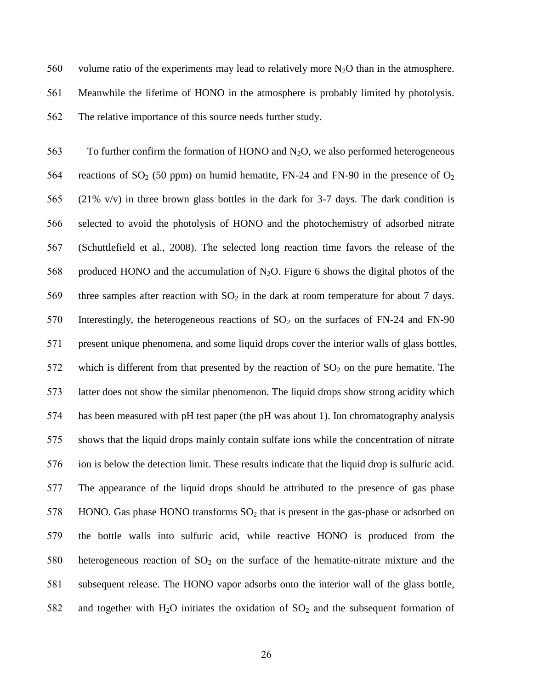560 volume ratio of the experiments may lead to relatively more  $N_2O$  than in the atmosphere. 561 Meanwhile the lifetime of HONO in the atmosphere is probably limited by photolysis. 562 The relative importance of this source needs further study.

563 To further confirm the formation of HONO and  $N_2O$ , we also performed heterogeneous 564 reactions of  $SO_2$  (50 ppm) on humid hematite, FN-24 and FN-90 in the presence of  $O_2$ 565 (21% v/v) in three brown glass bottles in the dark for 3-7 days. The dark condition is 566 selected to avoid the photolysis of HONO and the photochemistry of adsorbed nitrate 567 (Schuttlefield et al., 2008). The selected long reaction time favors the release of the 568 produced HONO and the accumulation of  $N_2O$ . Figure 6 shows the digital photos of the 569 three samples after reaction with  $SO_2$  in the dark at room temperature for about 7 days. 570 Interestingly, the heterogeneous reactions of  $SO_2$  on the surfaces of FN-24 and FN-90 571 present unique phenomena, and some liquid drops cover the interior walls of glass bottles, 572 which is different from that presented by the reaction of  $SO_2$  on the pure hematite. The 573 latter does not show the similar phenomenon. The liquid drops show strong acidity which 574 has been measured with pH test paper (the pH was about 1). Ion chromatography analysis 575 shows that the liquid drops mainly contain sulfate ions while the concentration of nitrate 576 ion is below the detection limit. These results indicate that the liquid drop is sulfuric acid. 577 The appearance of the liquid drops should be attributed to the presence of gas phase 578 HONO. Gas phase HONO transforms  $SO<sub>2</sub>$  that is present in the gas-phase or adsorbed on 579 the bottle walls into sulfuric acid, while reactive HONO is produced from the 580 heterogeneous reaction of  $SO<sub>2</sub>$  on the surface of the hematite-nitrate mixture and the 581 subsequent release. The HONO vapor adsorbs onto the interior wall of the glass bottle, 582 and together with  $H_2O$  initiates the oxidation of  $SO_2$  and the subsequent formation of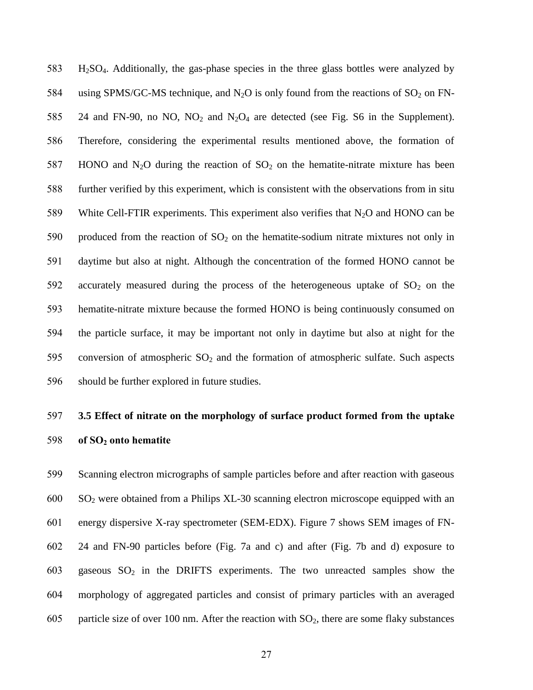H2SO4. Additionally, the gas-phase species in the three glass bottles were analyzed by 584 using SPMS/GC-MS technique, and  $N_2O$  is only found from the reactions of  $SO_2$  on FN-585 24 and FN-90, no NO, NO<sub>2</sub> and N<sub>2</sub>O<sub>4</sub> are detected (see Fig. S6 in the Supplement). Therefore, considering the experimental results mentioned above, the formation of 587 HONO and N<sub>2</sub>O during the reaction of  $SO_2$  on the hematite-nitrate mixture has been further verified by this experiment, which is consistent with the observations from in situ 589 White Cell-FTIR experiments. This experiment also verifies that  $N_2O$  and HONO can be 590 produced from the reaction of  $SO_2$  on the hematite-sodium nitrate mixtures not only in daytime but also at night. Although the concentration of the formed HONO cannot be 592 accurately measured during the process of the heterogeneous uptake of  $SO<sub>2</sub>$  on the hematite-nitrate mixture because the formed HONO is being continuously consumed on the particle surface, it may be important not only in daytime but also at night for the 595 conversion of atmospheric  $SO_2$  and the formation of atmospheric sulfate. Such aspects should be further explored in future studies.

# **3.5 Effect of nitrate on the morphology of surface product formed from the uptake of SO<sup>2</sup> onto hematite**

 Scanning electron micrographs of sample particles before and after reaction with gaseous SO<sup>2</sup> were obtained from a Philips XL-30 scanning electron microscope equipped with an energy dispersive X-ray spectrometer (SEM-EDX). Figure 7 shows SEM images of FN- 24 and FN-90 particles before (Fig. 7a and c) and after (Fig. 7b and d) exposure to 603 gaseous  $SO_2$  in the DRIFTS experiments. The two unreacted samples show the morphology of aggregated particles and consist of primary particles with an averaged 605 particle size of over 100 nm. After the reaction with  $SO_2$ , there are some flaky substances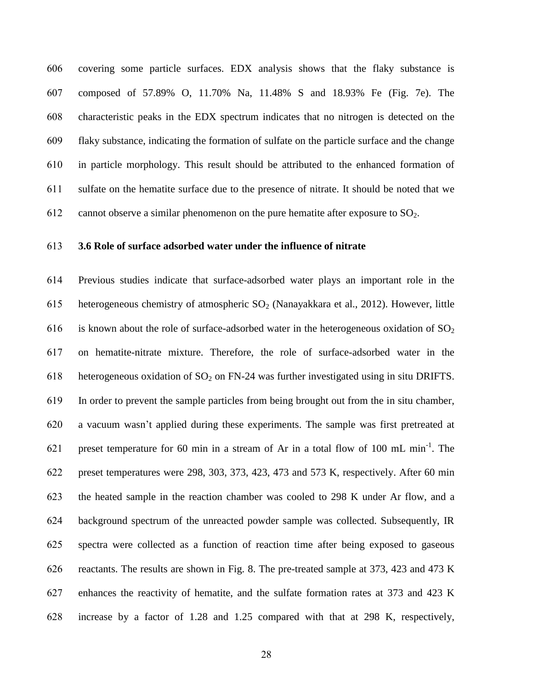covering some particle surfaces. EDX analysis shows that the flaky substance is composed of 57.89% O, 11.70% Na, 11.48% S and 18.93% Fe (Fig. 7e). The characteristic peaks in the EDX spectrum indicates that no nitrogen is detected on the flaky substance, indicating the formation of sulfate on the particle surface and the change in particle morphology. This result should be attributed to the enhanced formation of sulfate on the hematite surface due to the presence of nitrate. It should be noted that we 612 cannot observe a similar phenomenon on the pure hematite after exposure to  $SO_2$ .

## **3.6 Role of surface adsorbed water under the influence of nitrate**

 Previous studies indicate that surface-adsorbed water plays an important role in the 615 heterogeneous chemistry of atmospheric  $SO_2$  (Nanayakkara et al., 2012). However, little 616 is known about the role of surface-adsorbed water in the heterogeneous oxidation of  $SO<sub>2</sub>$  on hematite-nitrate mixture. Therefore, the role of surface-adsorbed water in the 618 heterogeneous oxidation of  $SO_2$  on FN-24 was further investigated using in situ DRIFTS. In order to prevent the sample particles from being brought out from the in situ chamber, a vacuum wasn't applied during these experiments. The sample was first pretreated at 621 preset temperature for 60 min in a stream of Ar in a total flow of 100 mL min<sup>-1</sup>. The preset temperatures were 298, 303, 373, 423, 473 and 573 K, respectively. After 60 min the heated sample in the reaction chamber was cooled to 298 K under Ar flow, and a background spectrum of the unreacted powder sample was collected. Subsequently, IR spectra were collected as a function of reaction time after being exposed to gaseous reactants. The results are shown in Fig. 8. The pre-treated sample at 373, 423 and 473 K enhances the reactivity of hematite, and the sulfate formation rates at 373 and 423 K increase by a factor of 1.28 and 1.25 compared with that at 298 K, respectively,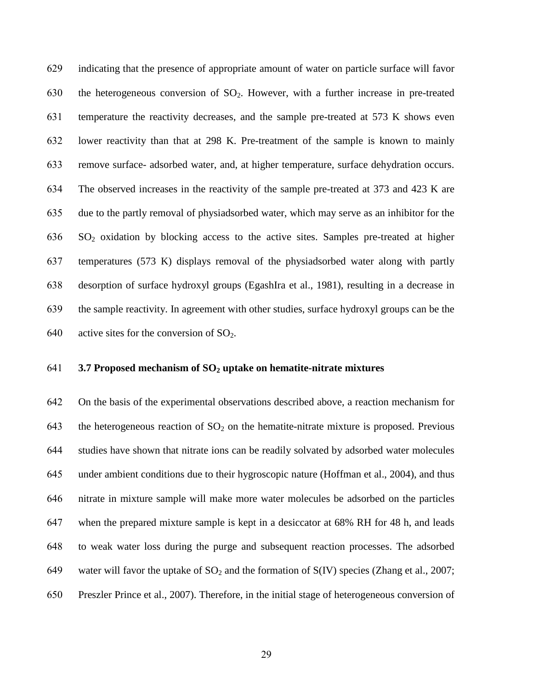indicating that the presence of appropriate amount of water on particle surface will favor 630 the heterogeneous conversion of  $SO_2$ . However, with a further increase in pre-treated temperature the reactivity decreases, and the sample pre-treated at 573 K shows even lower reactivity than that at 298 K. Pre-treatment of the sample is known to mainly remove surface- adsorbed water, and, at higher temperature, surface dehydration occurs. The observed increases in the reactivity of the sample pre-treated at 373 and 423 K are due to the partly removal of physiadsorbed water, which may serve as an inhibitor for the SO<sup>2</sup> oxidation by blocking access to the active sites. Samples pre-treated at higher temperatures (573 K) displays removal of the physiadsorbed water along with partly desorption of surface hydroxyl groups (EgashIra et al., 1981), resulting in a decrease in the sample reactivity. In agreement with other studies, surface hydroxyl groups can be the 640 active sites for the conversion of  $SO<sub>2</sub>$ .

### **3.7 Proposed mechanism of SO<sup>2</sup> uptake on hematite-nitrate mixtures**

 On the basis of the experimental observations described above, a reaction mechanism for 643 the heterogeneous reaction of  $SO<sub>2</sub>$  on the hematite-nitrate mixture is proposed. Previous studies have shown that nitrate ions can be readily solvated by adsorbed water molecules under ambient conditions due to their hygroscopic nature (Hoffman et al., 2004), and thus nitrate in mixture sample will make more water molecules be adsorbed on the particles when the prepared mixture sample is kept in a desiccator at 68% RH for 48 h, and leads to weak water loss during the purge and subsequent reaction processes. The adsorbed 649 water will favor the uptake of  $SO_2$  and the formation of  $S(IV)$  species (Zhang et al., 2007; Preszler Prince et al., 2007). Therefore, in the initial stage of heterogeneous conversion of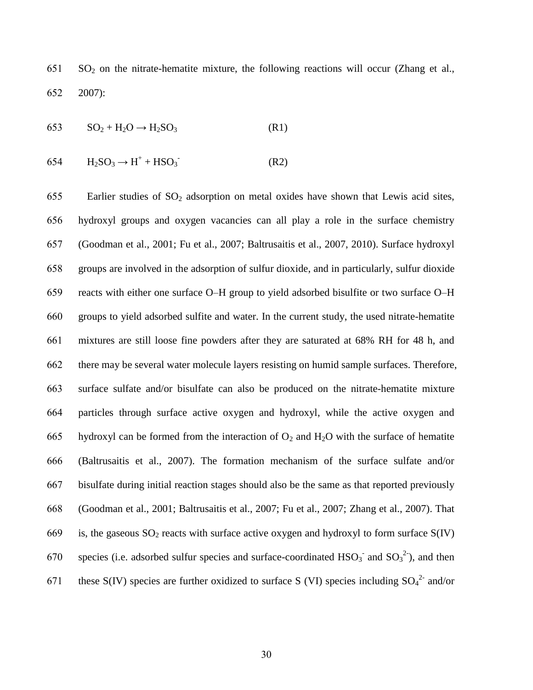SO<sub>2</sub> on the nitrate-hematite mixture, the following reactions will occur (Zhang et al., 2007):

$$
653 \t SO2 + H2O \rightarrow H2SO3
$$
 (R1)

$$
654 \qquad H_2SO_3 \to H^+ + HSO_3 \qquad (R2)
$$

655 Earlier studies of  $SO_2$  adsorption on metal oxides have shown that Lewis acid sites, hydroxyl groups and oxygen vacancies can all play a role in the surface chemistry (Goodman et al., 2001; Fu et al., 2007; Baltrusaitis et al., 2007, 2010). Surface hydroxyl groups are involved in the adsorption of sulfur dioxide, and in particularly, sulfur dioxide reacts with either one surface O–H group to yield adsorbed bisulfite or two surface O–H groups to yield adsorbed sulfite and water. In the current study, the used nitrate-hematite mixtures are still loose fine powders after they are saturated at 68% RH for 48 h, and there may be several water molecule layers resisting on humid sample surfaces. Therefore, surface sulfate and/or bisulfate can also be produced on the nitrate-hematite mixture particles through surface active oxygen and hydroxyl, while the active oxygen and 665 hydroxyl can be formed from the interaction of  $O_2$  and  $H_2O$  with the surface of hematite (Baltrusaitis et al., 2007). The formation mechanism of the surface sulfate and/or bisulfate during initial reaction stages should also be the same as that reported previously (Goodman et al., 2001; Baltrusaitis et al., 2007; Fu et al., 2007; Zhang et al., 2007). That 669 is, the gaseous  $SO_2$  reacts with surface active oxygen and hydroxyl to form surface  $S(IV)$ 670 species (i.e. adsorbed sulfur species and surface-coordinated  $HSO_3^-$  and  $SO_3^{2}$ ), and then 671 these S(IV) species are further oxidized to surface S (VI) species including  $SO_4^2$  and/or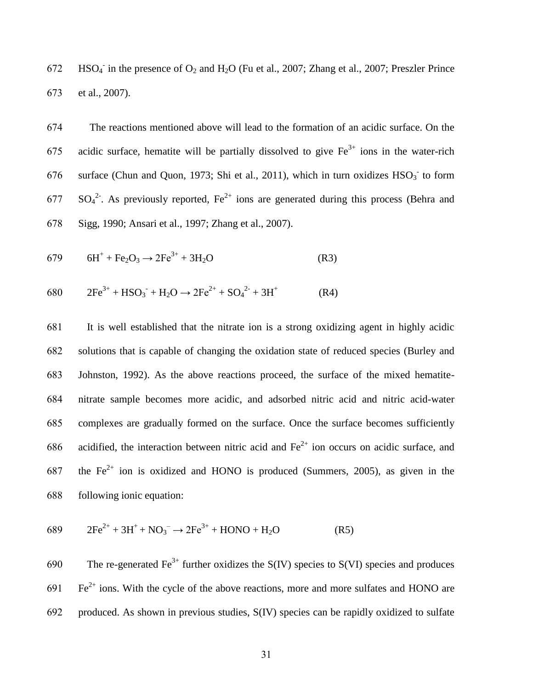672 HSO<sub>4</sub> in the presence of O<sub>2</sub> and H<sub>2</sub>O (Fu et al., 2007; Zhang et al., 2007; Preszler Prince 673 et al., 2007).

674 The reactions mentioned above will lead to the formation of an acidic surface. On the 675 acidic surface, hematite will be partially dissolved to give  $Fe^{3+}$  ions in the water-rich 676 surface (Chun and Quon, 1973; Shi et al., 2011), which in turn oxidizes  $HSO<sub>3</sub>$  to form  $677 \text{ SO}_4^2$ . As previously reported, Fe<sup>2+</sup> ions are generated during this process (Behra and 678 Sigg, 1990; Ansari et al., 1997; Zhang et al., 2007).

$$
679 \t 6H^{+} + Fe_{2}O_{3} \rightarrow 2Fe^{3+} + 3H_{2}O \t (R3)
$$

$$
680 \t 2Fe3+ + HSO3- + H2O \rightarrow 2Fe2+ + SO42- + 3H+
$$
 (R4)

 It is well established that the nitrate ion is a strong oxidizing agent in highly acidic solutions that is capable of changing the oxidation state of reduced species (Burley and Johnston, 1992). As the above reactions proceed, the surface of the mixed hematite- nitrate sample becomes more acidic, and adsorbed nitric acid and nitric acid-water complexes are gradually formed on the surface. Once the surface becomes sufficiently 686 acidified, the interaction between nitric acid and  $Fe<sup>2+</sup>$  ion occurs on acidic surface, and 687 the  $Fe^{2+}$  ion is oxidized and HONO is produced (Summers, 2005), as given in the following ionic equation:

$$
689 \t 2Fe2+ + 3H+ + NO3- \to 2Fe3+ + HONO + H2O
$$
 (R5)

690 find The re-generated Fe<sup>3+</sup> further oxidizes the S(IV) species to S(VI) species and produces  $691$  Fe<sup>2+</sup> ions. With the cycle of the above reactions, more and more sulfates and HONO are 692 produced. As shown in previous studies, S(IV) species can be rapidly oxidized to sulfate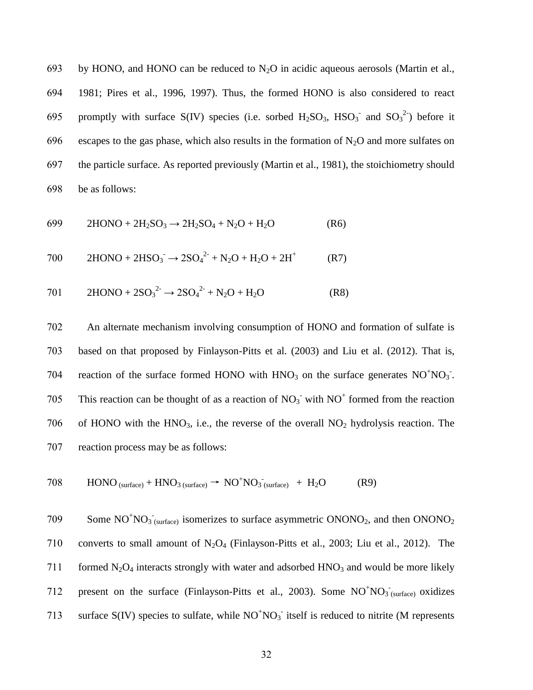693 by HONO, and HONO can be reduced to  $N_2O$  in acidic aqueous aerosols (Martin et al., 694 1981; Pires et al., 1996, 1997). Thus, the formed HONO is also considered to react 695 promptly with surface S(IV) species (i.e. sorbed  $H_2SO_3$ ,  $HSO_3^-$  and  $SO_3^{2}$ ) before it 696 escapes to the gas phase, which also results in the formation of  $N_2O$  and more sulfates on 697 the particle surface. As reported previously (Martin et al., 1981), the stoichiometry should 698 be as follows:

$$
699 \t 2HONO + 2H_2SO_3 \to 2H_2SO_4 + N_2O + H_2O \t (R6)
$$

$$
700 \t 2HONO + 2HSO3- \to 2SO42- + N2O + H2O + 2H+ (R7)
$$

701 
$$
2HONO + 2SO_3^2 \rightarrow 2SO_4^2 + N_2O + H_2O
$$
 (R8)

702 An alternate mechanism involving consumption of HONO and formation of sulfate is 703 based on that proposed by Finlayson-Pitts et al. (2003) and Liu et al. (2012). That is, 704 reaction of the surface formed HONO with  $HNO<sub>3</sub>$  on the surface generates  $NO<sup>+</sup>NO<sub>3</sub>$ . 705 This reaction can be thought of as a reaction of  $NO<sub>3</sub>$  with  $NO<sup>+</sup>$  formed from the reaction 706 of HONO with the  $HNO<sub>3</sub>$ , i.e., the reverse of the overall  $NO<sub>2</sub>$  hydrolysis reaction. The 707 reaction process may be as follows:

$$
708 \qquad \text{HONO}_{\text{(surface)}} + \text{HNO}_{3\text{(surface)}} \rightarrow \text{NO}^{+}\text{NO}_{3\text{(surface)}} + \text{H}_{2}\text{O} \tag{R9}
$$

709 Some  $NO<sup>+</sup>NO<sub>3</sub>$ <sub>(surface)</sub> isomerizes to surface asymmetric  $ONONO<sub>2</sub>$ , and then  $ONONO<sub>2</sub>$ 710 converts to small amount of  $N_2O_4$  (Finlayson-Pitts et al., 2003; Liu et al., 2012). The 711 formed  $N_2O_4$  interacts strongly with water and adsorbed  $HNO_3$  and would be more likely 712 present on the surface (Finlayson-Pitts et al., 2003). Some  $NO<sup>+</sup>NO<sub>3</sub>$  (surface) oxidizes 713 surface  $S(IV)$  species to sulfate, while  $NO<sup>+</sup>NO<sub>3</sub>$  itself is reduced to nitrite (M represents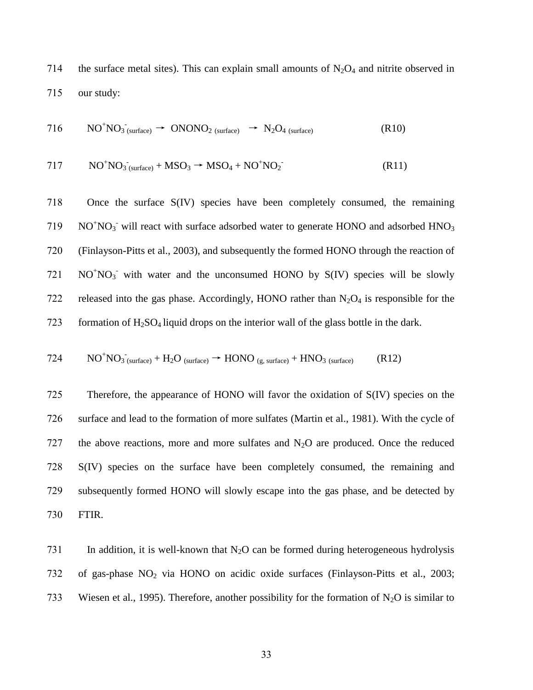714 the surface metal sites). This can explain small amounts of  $N_2O_4$  and nitrite observed in 715 our study:

$$
716 \qquad NO^{+}NO_{3}^{-}(surface) \rightarrow ONONO_{2 (surface)} \rightarrow N_{2}O_{4 (surface)}
$$
 (R10)

$$
717 \tNO+NO3-(surface) + MSO3 \rightarrow MSO4 + NO+NO2-
$$
 (R11)

 Once the surface S(IV) species have been completely consumed, the remaining NO<sup>+</sup>NO<sub>3</sub><sup>-</sup> will react with surface adsorbed water to generate HONO and adsorbed HNO<sub>3</sub> (Finlayson-Pitts et al., 2003), and subsequently the formed HONO through the reaction of  $NO<sup>+</sup>NO<sub>3</sub>$  with water and the unconsumed HONO by S(IV) species will be slowly 722 released into the gas phase. Accordingly, HONO rather than  $N_2O_4$  is responsible for the 723 formation of  $H_2SO_4$  liquid drops on the interior wall of the glass bottle in the dark.

$$
724 \qquad NO^{+}NO_{3 \text{ (surface)}} + H_{2}O_{\text{ (surface)}} \rightarrow HONO_{\text{ (g, surface)}} + HNO_{3 \text{ (surface)}}
$$
 (R12)

 Therefore, the appearance of HONO will favor the oxidation of S(IV) species on the surface and lead to the formation of more sulfates (Martin et al., 1981). With the cycle of 727 the above reactions, more and more sulfates and  $N<sub>2</sub>O$  are produced. Once the reduced S(IV) species on the surface have been completely consumed, the remaining and subsequently formed HONO will slowly escape into the gas phase, and be detected by 730 FTIR.

731 In addition, it is well-known that  $N_2O$  can be formed during heterogeneous hydrolysis 732 of gas-phase NO<sup>2</sup> via HONO on acidic oxide surfaces (Finlayson-Pitts et al., 2003; 733 Wiesen et al., 1995). Therefore, another possibility for the formation of  $N_2O$  is similar to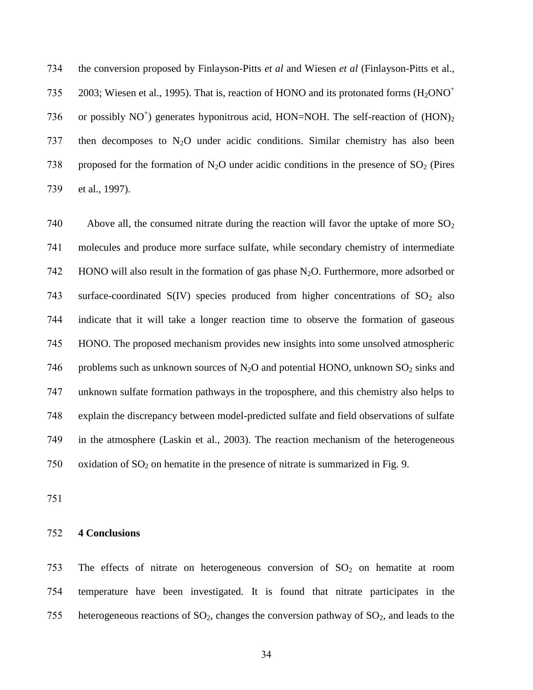734 the conversion proposed by Finlayson-Pitts *et al* and Wiesen *et al* (Finlayson-Pitts et al., 2003; Wiesen et al., 1995). That is, reaction of HONO and its protonated forms  $(H_2ONO^+$ 735 736 or possibly  $NO<sup>+</sup>$ ) generates hyponitrous acid, HON=NOH. The self-reaction of  $(HON)_2$ 737 then decomposes to  $N_2O$  under acidic conditions. Similar chemistry has also been 738 proposed for the formation of N<sub>2</sub>O under acidic conditions in the presence of  $SO_2$  (Pires 739 et al., 1997).

740 Above all, the consumed nitrate during the reaction will favor the uptake of more  $SO_2$ 741 molecules and produce more surface sulfate, while secondary chemistry of intermediate 742 HONO will also result in the formation of gas phase  $N_2O$ . Furthermore, more adsorbed or 743 surface-coordinated  $S(IV)$  species produced from higher concentrations of  $SO<sub>2</sub>$  also 744 indicate that it will take a longer reaction time to observe the formation of gaseous 745 HONO. The proposed mechanism provides new insights into some unsolved atmospheric 746 problems such as unknown sources of N<sub>2</sub>O and potential HONO, unknown  $SO_2$  sinks and 747 unknown sulfate formation pathways in the troposphere, and this chemistry also helps to 748 explain the discrepancy between model-predicted sulfate and field observations of sulfate 749 in the atmosphere (Laskin et al., 2003). The reaction mechanism of the heterogeneous 750 oxidation of  $SO_2$  on hematite in the presence of nitrate is summarized in Fig. 9.

751

## 752 **4 Conclusions**

753 The effects of nitrate on heterogeneous conversion of  $SO_2$  on hematite at room 754 temperature have been investigated. It is found that nitrate participates in the 755 heterogeneous reactions of  $SO_2$ , changes the conversion pathway of  $SO_2$ , and leads to the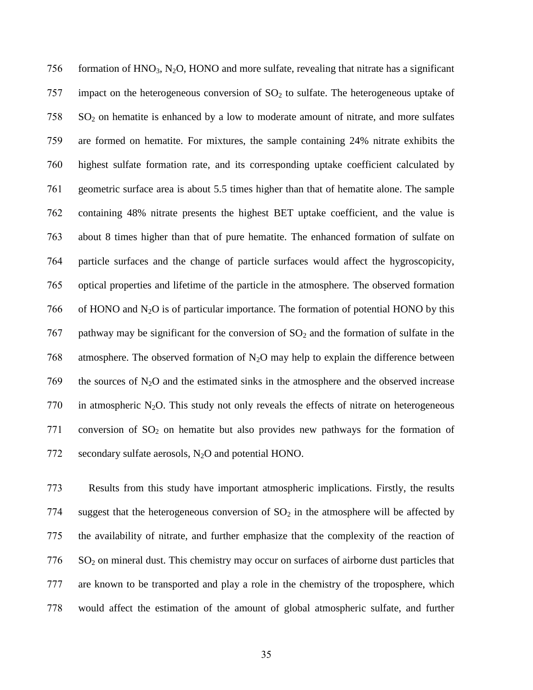756 formation of  $HNO<sub>3</sub>$ , N<sub>2</sub>O, HONO and more sulfate, revealing that nitrate has a significant 757 impact on the heterogeneous conversion of  $SO<sub>2</sub>$  to sulfate. The heterogeneous uptake of SO<sub>2</sub> on hematite is enhanced by a low to moderate amount of nitrate, and more sulfates are formed on hematite. For mixtures, the sample containing 24% nitrate exhibits the highest sulfate formation rate, and its corresponding uptake coefficient calculated by geometric surface area is about 5.5 times higher than that of hematite alone. The sample containing 48% nitrate presents the highest BET uptake coefficient, and the value is about 8 times higher than that of pure hematite. The enhanced formation of sulfate on particle surfaces and the change of particle surfaces would affect the hygroscopicity, optical properties and lifetime of the particle in the atmosphere. The observed formation 766 of HONO and  $N_2O$  is of particular importance. The formation of potential HONO by this 767 pathway may be significant for the conversion of  $SO<sub>2</sub>$  and the formation of sulfate in the 768 atmosphere. The observed formation of  $N_2O$  may help to explain the difference between 769 the sources of  $N_2$ O and the estimated sinks in the atmosphere and the observed increase 770 in atmospheric N<sub>2</sub>O. This study not only reveals the effects of nitrate on heterogeneous 771 conversion of  $SO_2$  on hematite but also provides new pathways for the formation of secondary sulfate aerosols, N2O and potential HONO.

 Results from this study have important atmospheric implications. Firstly, the results 774 suggest that the heterogeneous conversion of  $SO<sub>2</sub>$  in the atmosphere will be affected by the availability of nitrate, and further emphasize that the complexity of the reaction of SO<sub>2</sub> on mineral dust. This chemistry may occur on surfaces of airborne dust particles that are known to be transported and play a role in the chemistry of the troposphere, which would affect the estimation of the amount of global atmospheric sulfate, and further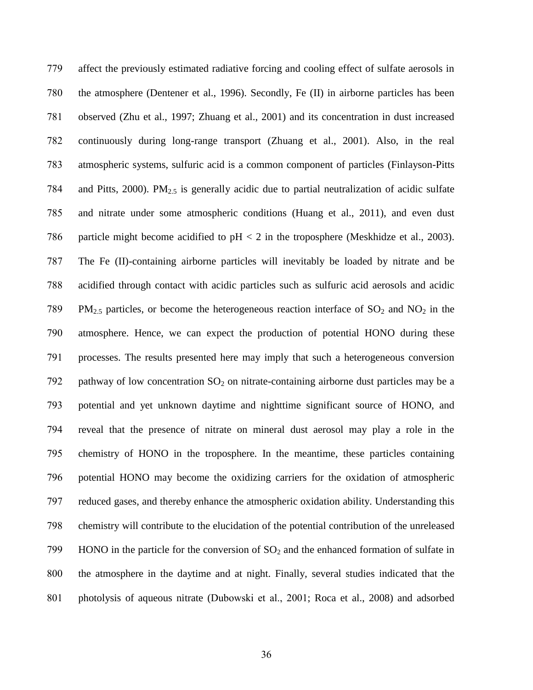affect the previously estimated radiative forcing and cooling effect of sulfate aerosols in the atmosphere (Dentener et al., 1996). Secondly, Fe (II) in airborne particles has been observed (Zhu et al., 1997; Zhuang et al., 2001) and its concentration in dust increased continuously during long-range transport (Zhuang et al., 2001). Also, in the real atmospheric systems, sulfuric acid is a common component of particles (Finlayson-Pitts 784 and Pitts, 2000). PM $_{2.5}$  is generally acidic due to partial neutralization of acidic sulfate and nitrate under some atmospheric conditions (Huang et al., 2011), and even dust 786 particle might become acidified to  $pH < 2$  in the troposphere (Meskhidze et al., 2003). The Fe (II)-containing airborne particles will inevitably be loaded by nitrate and be acidified through contact with acidic particles such as sulfuric acid aerosols and acidic 789 PM<sub>2.5</sub> particles, or become the heterogeneous reaction interface of  $SO_2$  and  $NO_2$  in the atmosphere. Hence, we can expect the production of potential HONO during these processes. The results presented here may imply that such a heterogeneous conversion 792 pathway of low concentration  $SO_2$  on nitrate-containing airborne dust particles may be a potential and yet unknown daytime and nighttime significant source of HONO, and reveal that the presence of nitrate on mineral dust aerosol may play a role in the chemistry of HONO in the troposphere. In the meantime, these particles containing potential HONO may become the oxidizing carriers for the oxidation of atmospheric reduced gases, and thereby enhance the atmospheric oxidation ability. Understanding this chemistry will contribute to the elucidation of the potential contribution of the unreleased 799 HONO in the particle for the conversion of  $SO_2$  and the enhanced formation of sulfate in the atmosphere in the daytime and at night. Finally, several studies indicated that the photolysis of aqueous nitrate (Dubowski et al., 2001; Roca et al., 2008) and adsorbed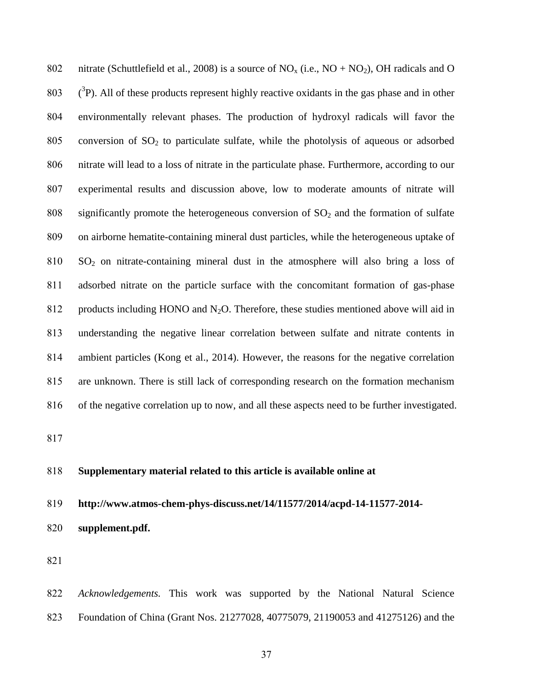802 nitrate (Schuttlefield et al., 2008) is a source of  $NO_x$  (i.e.,  $NO + NO_2$ ), OH radicals and O  $(3P)$ . All of these products represent highly reactive oxidants in the gas phase and in other environmentally relevant phases. The production of hydroxyl radicals will favor the 805 conversion of  $SO_2$  to particulate sulfate, while the photolysis of aqueous or adsorbed nitrate will lead to a loss of nitrate in the particulate phase. Furthermore, according to our experimental results and discussion above, low to moderate amounts of nitrate will 808 significantly promote the heterogeneous conversion of  $SO<sub>2</sub>$  and the formation of sulfate on airborne hematite-containing mineral dust particles, while the heterogeneous uptake of SO<sup>2</sup> on nitrate-containing mineral dust in the atmosphere will also bring a loss of adsorbed nitrate on the particle surface with the concomitant formation of gas-phase 812 products including HONO and  $N_2O$ . Therefore, these studies mentioned above will aid in understanding the negative linear correlation between sulfate and nitrate contents in ambient particles (Kong et al., 2014). However, the reasons for the negative correlation are unknown. There is still lack of corresponding research on the formation mechanism of the negative correlation up to now, and all these aspects need to be further investigated.

## **Supplementary material related to this article is available online at**

- **http://www.atmos-chem-phys-discuss.net/14/11577/2014/acpd-14-11577-2014-**
- **supplement.pdf.**

 *Acknowledgements.* This work was supported by the National Natural Science Foundation of China (Grant Nos. 21277028, 40775079, 21190053 and 41275126) and the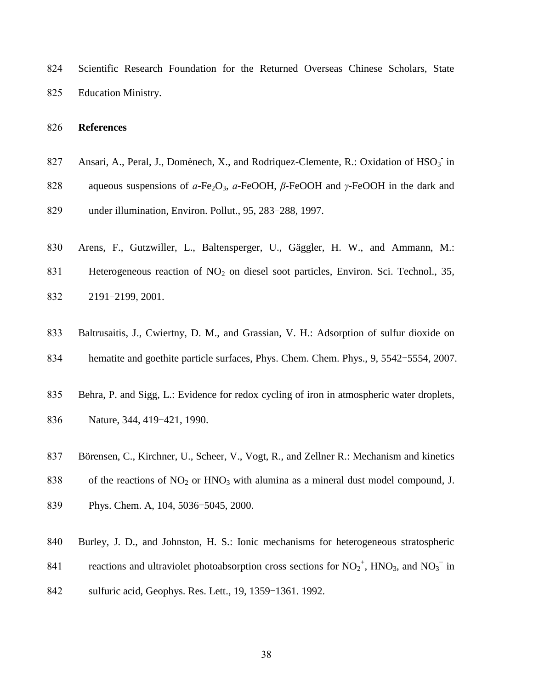Scientific Research Foundation for the Returned Overseas Chinese Scholars, State Education Ministry.

### **References**

- 827 Ansari, A., Peral, J., Dom ènech, X., and Rodriquez-Clemente, R.: Oxidation of  $HSO_3^-$  in
- aqueous suspensions of *ɑ*-Fe2O3, *ɑ*-FeOOH, *β*-FeOOH and *γ*-FeOOH in the dark and
- under illumination, Environ. Pollut., 95, 283-288, 1997.
- Arens, F., Gutzwiller, L., Baltensperger, U., Gäggler, H. W., and Ammann, M.:
- 831 Heterogeneous reaction of NO<sub>2</sub> on diesel soot particles, Environ. Sci. Technol., 35, 2191-2199, 2001.
- Baltrusaitis, J., Cwiertny, D. M., and Grassian, V. H.: Adsorption of sulfur dioxide on
- hematite and goethite particle surfaces, Phys. Chem. Chem. Phys., 9, 5542-5554, 2007.
- 835 Behra, P. and Sigg, L.: Evidence for redox cycling of iron in atmospheric water droplets, Nature, 344, 419-421, 1990.
- Börensen, C., Kirchner, U., Scheer, V., Vogt, R., and Zellner R.: Mechanism and kinetics
- 838 of the reactions of  $NO<sub>2</sub>$  or  $HNO<sub>3</sub>$  with alumina as a mineral dust model compound, J.
- Phys. Chem. A, 104, 5036-5045, 2000.
- 840 Burley, J. D., and Johnston, H. S.: Ionic mechanisms for heterogeneous stratospheric
- 841 reactions and ultraviolet photoabsorption cross sections for  $NO_2^+$ , HNO<sub>3</sub>, and  $NO_3^-$  in
- sulfuric acid, Geophys. Res. Lett., 19, 1359-1361. 1992.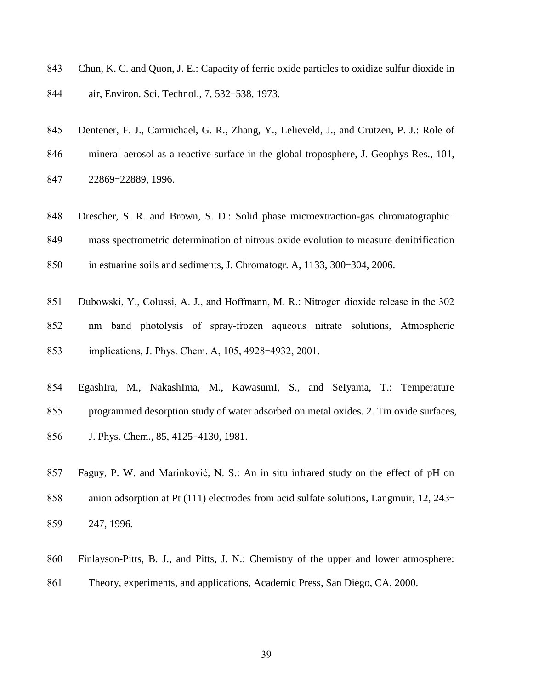- Chun, K. C. and Quon, J. E.: Capacity of ferric oxide particles to oxidize sulfur dioxide in
- air, Environ. Sci. Technol., 7, 532-538, 1973.
- Dentener, F. J., Carmichael, G. R., Zhang, Y., Lelieveld, J., and Crutzen, P. J.: Role of
- mineral aerosol as a reactive surface in the global troposphere, J. Geophys Res., 101,
- 22869-22889, 1996.
- 848 Drescher, S. R. and Brown, S. D.: Solid phase microextraction-gas chromatographic–
- mass spectrometric determination of nitrous oxide evolution to measure denitrification
- in estuarine soils and sediments, J. Chromatogr. A, 1133, 300-304, 2006.
- Dubowski, Y., Colussi, A. J., and Hoffmann, M. R.: Nitrogen dioxide release in the 302
- nm band photolysis of spray-frozen aqueous nitrate solutions, Atmospheric implications, J. Phys. Chem. A, 105, 4928-4932, 2001.
- EgashIra, M., NakashIma, M., KawasumI, S., and SeIyama, T.: Temperature programmed desorption study of water adsorbed on metal oxides. 2. Tin oxide surfaces, J. Phys. Chem., 85, 4125-4130, 1981.
- Faguy, P. W. and Marinković, N. S.: An in situ infrared study on the effect of pH on anion adsorption at Pt (111) electrodes from acid sulfate solutions, Langmuir, 12, 243- 247, 1996*.*
- Finlayson-Pitts, B. J., and Pitts, J. N.: Chemistry of the upper and lower atmosphere:
- Theory, experiments, and applications, Academic Press, San Diego, CA, 2000.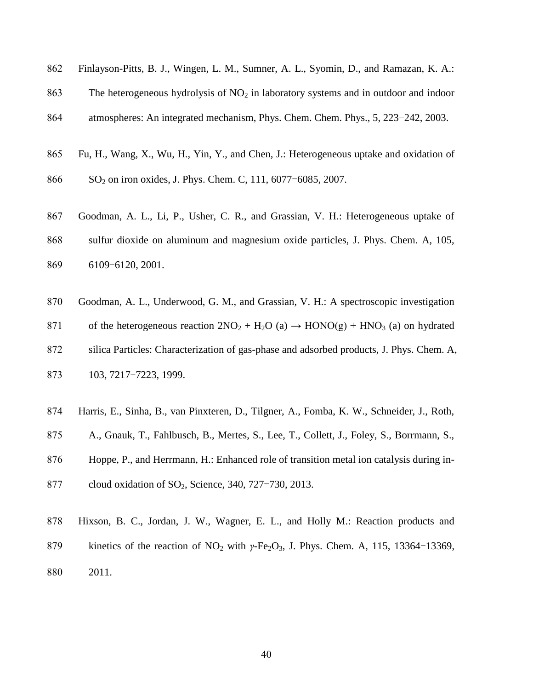| 862 Finlayson-Pitts, B. J., Wingen, L. M., Sumner, A. L., Syomin, D., and Ramazan, K. A.: |  |  |  |  |  |  |  |
|-------------------------------------------------------------------------------------------|--|--|--|--|--|--|--|
|                                                                                           |  |  |  |  |  |  |  |

863 The heterogeneous hydrolysis of  $NO<sub>2</sub>$  in laboratory systems and in outdoor and indoor

atmospheres: An integrated mechanism, Phys. Chem. Chem. Phys., 5, 223-242, 2003.

- Fu, H., Wang, X., Wu, H., Yin, Y., and Chen, J.: Heterogeneous uptake and oxidation of
- 866 SO<sub>2</sub> on iron oxides, J. Phys. Chem. C, 111, 6077-6085, 2007.
- Goodman, A. L., Li, P., Usher, C. R., and Grassian, V. H.: Heterogeneous uptake of sulfur dioxide on aluminum and magnesium oxide particles, J. Phys. Chem. A, 105, 6109-6120, 2001.
- Goodman, A. L., Underwood, G. M., and Grassian, V. H.: A spectroscopic investigation 871 of the heterogeneous reaction  $2NO_2 + H_2O(a) \rightarrow HONO(g) + HNO_3(a)$  on hydrated silica Particles: Characterization of gas-phase and adsorbed products, J. Phys. Chem. A, 103, 7217-7223, 1999.
- Harris, E., Sinha, B., van Pinxteren, D., Tilgner, A., Fomba, K. W., Schneider, J., Roth,
- A., Gnauk, T., Fahlbusch, B., Mertes, S., Lee, T., Collett, J., Foley, S., Borrmann, S.,

Hoppe, P., and Herrmann, H.: Enhanced role of transition metal ion catalysis during in-

- 877 cloud oxidation of SO<sub>2</sub>, Science, 340, 727-730, 2013.
- Hixson, B. C., Jordan, J. W., Wagner, E. L., and Holly M.: Reaction products and
- 879 kinetics of the reaction of NO<sub>2</sub> with *γ*-Fe<sub>2</sub>O<sub>3</sub>, J. Phys. Chem. A, 115, 13364-13369, 2011.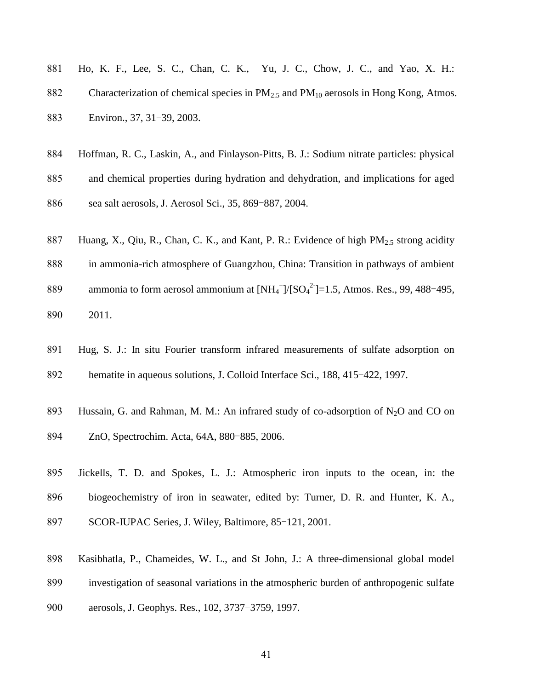- Ho, K. F., Lee, S. C., Chan, C. K., Yu, J. C., Chow, J. C., and Yao, X. H.: 882 Characterization of chemical species in  $PM_{2.5}$  and  $PM_{10}$  aerosols in Hong Kong, Atmos. Environ., 37, 31-39, 2003.
- Hoffman, R. C., Laskin, A., and Finlayson-Pitts, B. J.: Sodium nitrate particles: physical
- and chemical properties during hydration and dehydration, and implications for aged

886 sea salt aerosols, J. Aerosol Sci., 35, 869-887, 2004.

- 887 Huang, X., Qiu, R., Chan, C. K., and Kant, P. R.: Evidence of high  $PM_{2.5}$  strong acidity
- in ammonia-rich atmosphere of Guangzhou, China: Transition in pathways of ambient
- 889 ammonia to form aerosol ammonium at  $[NH_4^+]/[SO_4^2] = 1.5$ , Atmos. Res., 99, 488-495,
- 2011.
- Hug, S. J.: In situ Fourier transform infrared measurements of sulfate adsorption on hematite in aqueous solutions, J. Colloid Interface Sci., 188, 415-422, 1997.
- 893 Hussain, G. and Rahman, M. M.: An infrared study of co-adsorption of  $N_2O$  and CO on
- ZnO, Spectrochim. Acta, 64A, 880-885, 2006.
- Jickells, T. D. and Spokes, L. J.: Atmospheric iron inputs to the ocean, in: the
- biogeochemistry of iron in seawater, edited by: Turner, D. R. and Hunter, K. A.,
- SCOR-IUPAC Series, J. Wiley, Baltimore, 85-121, 2001.
- Kasibhatla, P., Chameides, W. L., and St John, J.: A three-dimensional global model
- investigation of seasonal variations in the atmospheric burden of anthropogenic sulfate
- aerosols, J. Geophys. Res., 102, 3737-3759, 1997.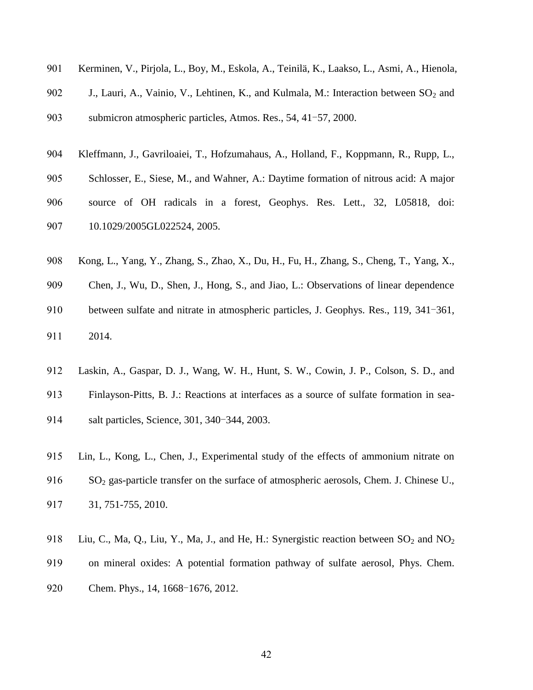| 901 | Kerminen, V., Pirjola, L., Boy, M., Eskola, A., Teinil ä K., Laakso, L., Asmi, A., Hienola, |
|-----|---------------------------------------------------------------------------------------------|
| 902 | J., Lauri, A., Vainio, V., Lehtinen, K., and Kulmala, M.: Interaction between $SO_2$ and    |
| 903 | submicron atmospheric particles, Atmos. Res., 54, 41-57, 2000.                              |
| 904 | Kleffmann, J., Gavriloaiei, T., Hofzumahaus, A., Holland, F., Koppmann, R., Rupp, L.,       |
| 905 | Schlosser, E., Siese, M., and Wahner, A.: Daytime formation of nitrous acid: A major        |
| 906 | source of OH radicals in a forest, Geophys. Res. Lett., 32, L05818, doi:                    |
| 907 | 10.1029/2005GL022524, 2005.                                                                 |

- Kong, L., Yang, Y., Zhang, S., Zhao, X., Du, H., Fu, H., Zhang, S., Cheng, T., Yang, X.,
- Chen, J., Wu, D., Shen, J., Hong, S., and Jiao, L.: Observations of linear dependence
- between sulfate and nitrate in atmospheric particles, J. Geophys. Res., 119, 341-361, 2014.
- Laskin, A., Gaspar, D. J., Wang, W. H., Hunt, S. W., Cowin, J. P., Colson, S. D., and
- Finlayson-Pitts, B. J.: Reactions at interfaces as a source of sulfate formation in sea-
- salt particles, Science, 301, 340-344, 2003.
- Lin, L., Kong, L., Chen, J., Experimental study of the effects of ammonium nitrate on 916 SO<sub>2</sub> gas-particle transfer on the surface of atmospheric aerosols, Chem. J. Chinese U., 31, 751-755, 2010.
- 918 Liu, C., Ma, Q., Liu, Y., Ma, J., and He, H.: Synergistic reaction between  $SO_2$  and  $NO_2$
- on mineral oxides: A potential formation pathway of sulfate aerosol, Phys. Chem.
- 920 Chem. Phys., 14, 1668-1676, 2012.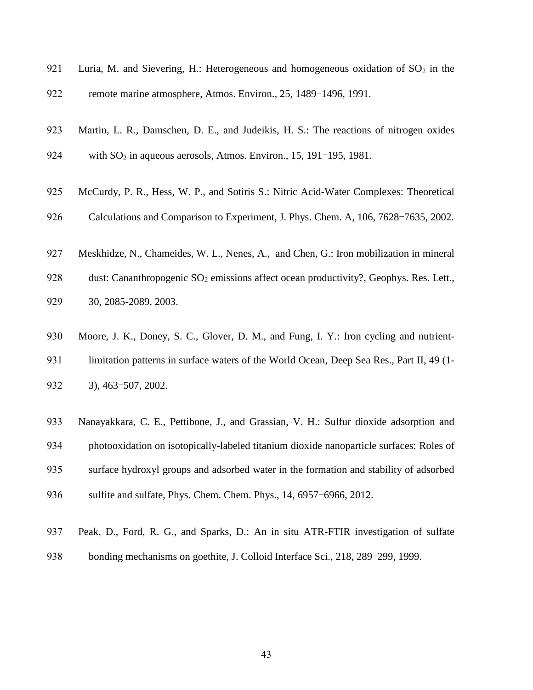- 921 Luria, M. and Sievering, H.: Heterogeneous and homogeneous oxidation of  $SO_2$  in the
- remote marine atmosphere, Atmos. Environ., 25, 1489-1496, 1991.
- Martin, L. R., Damschen, D. E., and Judeikis, H. S.: The reactions of nitrogen oxides
- 924 with  $SO_2$  in aqueous aerosols, Atmos. Environ., 15, 191-195, 1981.
- McCurdy, P. R., Hess, W. P., and Sotiris S.: Nitric Acid-Water Complexes: Theoretical
- Calculations and Comparison to Experiment, J. Phys. Chem. A, 106, 7628-7635, 2002.
- Meskhidze, N., Chameides, W. L., Nenes, A., and Chen, G.: Iron mobilization in mineral
- 928 dust: Cananthropogenic  $SO_2$  emissions affect ocean productivity?, Geophys. Res. Lett., 30, 2085-2089, 2003.
- Moore, J. K., Doney, S. C., Glover, D. M., and Fung, I. Y.: Iron cycling and nutrient-931 limitation patterns in surface waters of the World Ocean, Deep Sea Res., Part II, 49 (1-3), 463-507, 2002.
- Nanayakkara, C. E., Pettibone, J., and Grassian, V. H.: Sulfur dioxide adsorption and photooxidation on isotopically-labeled titanium dioxide nanoparticle surfaces: Roles of surface hydroxyl groups and adsorbed water in the formation and stability of adsorbed sulfite and sulfate, Phys. Chem. Chem. Phys., 14, 6957-6966, 2012.
- Peak, D., Ford, R. G., and Sparks, D.: An in situ ATR-FTIR investigation of sulfate
- bonding mechanisms on goethite, J. Colloid Interface Sci., 218, 289-299, 1999.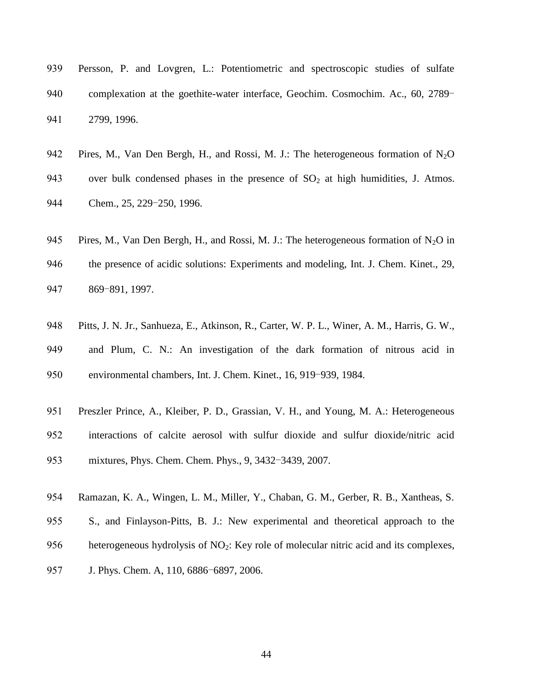- Persson, P. and Lovgren, L.: Potentiometric and spectroscopic studies of sulfate complexation at the goethite-water interface, Geochim. Cosmochim. Ac., 60, 2789- 2799, 1996.
- 942 Pires, M., Van Den Bergh, H., and Rossi, M. J.: The heterogeneous formation of  $N_2O$
- 943 over bulk condensed phases in the presence of  $SO<sub>2</sub>$  at high humidities, J. Atmos. 944 Chem., 25, 229-250, 1996.
- 945 Pires, M., Van Den Bergh, H., and Rossi, M. J.: The heterogeneous formation of  $N_2O$  in
- the presence of acidic solutions: Experiments and modeling, Int. J. Chem. Kinet., 29, 869-891, 1997.
- Pitts, J. N. Jr., Sanhueza, E., Atkinson, R., Carter, W. P. L., Winer, A. M., Harris, G. W., and Plum, C. N.: An investigation of the dark formation of nitrous acid in environmental chambers, Int. J. Chem. Kinet., 16, 919-939, 1984.
- Preszler Prince, A., Kleiber, P. D., Grassian, V. H., and Young, M. A.: Heterogeneous interactions of calcite aerosol with sulfur dioxide and sulfur dioxide/nitric acid mixtures, Phys. Chem. Chem. Phys., 9, 3432-3439, 2007.
- Ramazan, K. A., Wingen, L. M., Miller, Y., Chaban, G. M., Gerber, R. B., Xantheas, S.
- S., and Finlayson-Pitts, B. J.: New experimental and theoretical approach to the
- 956 heterogeneous hydrolysis of  $NO<sub>2</sub>$ : Key role of molecular nitric acid and its complexes,
- J. Phys. Chem. A, 110, 6886-6897, 2006.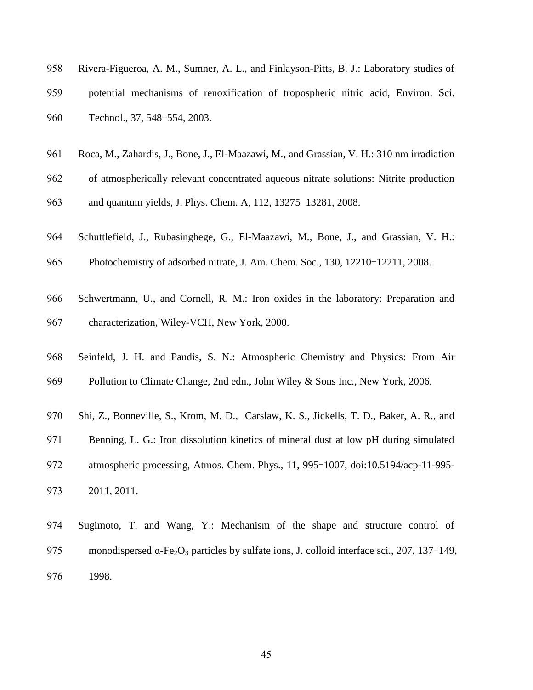| 958 | Rivera-Figueroa, A. M., Sumner, A. L., and Finlayson-Pitts, B. J.: Laboratory studies of |
|-----|------------------------------------------------------------------------------------------|
| 959 | potential mechanisms of renoxification of tropospheric nitric acid, Environ. Sci.        |
| 960 | Technol., 37, 548-554, 2003.                                                             |

- Roca, M., Zahardis, J., Bone, J., El-Maazawi, M., and Grassian, V. H.: 310 nm irradiation
- of atmospherically relevant concentrated aqueous nitrate solutions: Nitrite production
- and quantum yields, J. Phys. Chem. A, 112, 13275–13281, 2008.
- Schuttlefield, J., Rubasinghege, G., El-Maazawi, M., Bone, J., and Grassian, V. H.:
- Photochemistry of adsorbed nitrate, J. Am. Chem. Soc., 130, 12210-12211, 2008.
- Schwertmann, U., and Cornell, R. M.: Iron oxides in the laboratory: Preparation and
- characterization, Wiley-VCH, New York, 2000.
- Seinfeld, J. H. and Pandis, S. N.: Atmospheric Chemistry and Physics: From Air 969 Pollution to Climate Change, 2nd edn., John Wiley & Sons Inc., New York, 2006.
- Shi, Z., Bonneville, S., Krom, M. D., Carslaw, K. S., Jickells, T. D., Baker, A. R., and
- Benning, L. G.: Iron dissolution kinetics of mineral dust at low pH during simulated
- atmospheric processing, Atmos. Chem. Phys., 11, 995-1007, doi:10.5194/acp-11-995-
- 2011, 2011.
- Sugimoto, T. and Wang, Y.: Mechanism of the shape and structure control of 975 monodispersed  $\alpha$ -Fe<sub>2</sub>O<sub>3</sub> particles by sulfate ions, J. colloid interface sci., 207, 137–149, 1998.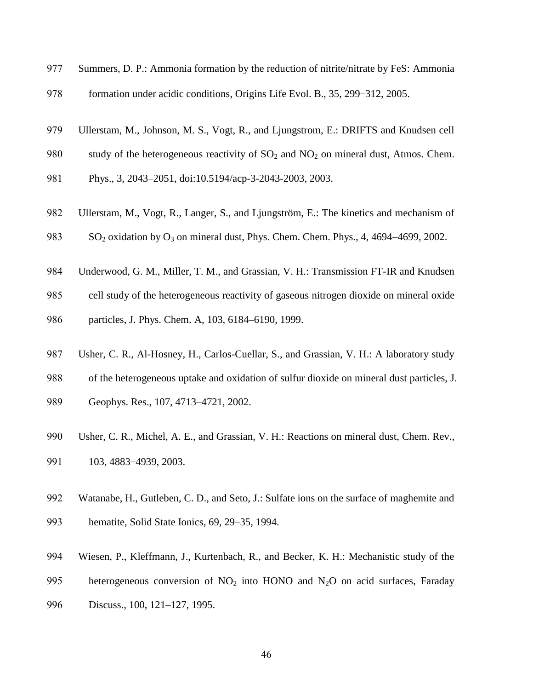- Summers, D. P.: Ammonia formation by the reduction of nitrite/nitrate by FeS: Ammonia
- formation under acidic conditions, Origins Life Evol. B., 35, 299-312, 2005.
- Ullerstam, M., Johnson, M. S., Vogt, R., and Ljungstrom, E.: DRIFTS and Knudsen cell
- 980 study of the heterogeneous reactivity of  $SO_2$  and  $NO_2$  on mineral dust, Atmos. Chem.
- Phys., 3, 2043–2051, doi:10.5194/acp-3-2043-2003, 2003.
- Ullerstam, M., Vogt, R., Langer, S., and Ljungström, E.: The kinetics and mechanism of
- 983 SO<sub>2</sub> oxidation by O<sub>3</sub> on mineral dust, Phys. Chem. Chem. Phys., 4, 4694–4699, 2002.
- Underwood, G. M., Miller, T. M., and Grassian, V. H.: Transmission FT-IR and Knudsen
- cell study of the heterogeneous reactivity of gaseous nitrogen dioxide on mineral oxide
- particles, J. Phys. Chem. A, 103, 6184–6190, 1999.
- Usher, C. R., Al-Hosney, H., Carlos-Cuellar, S., and Grassian, V. H.: A laboratory study
- of the heterogeneous uptake and oxidation of sulfur dioxide on mineral dust particles, J.
- Geophys. Res., 107, 4713–4721, 2002.
- 990 Usher, C. R., Michel, A. E., and Grassian, V. H.: Reactions on mineral dust, Chem. Rev.,
- 103, 4883-4939, 2003.
- Watanabe, H., Gutleben, C. D., and Seto, J.: Sulfate ions on the surface of maghemite and
- hematite, Solid State Ionics, 69, 29–35, 1994.
- Wiesen, P., Kleffmann, J., Kurtenbach, R., and Becker, K. H.: Mechanistic study of the
- 995 heterogeneous conversion of  $NO<sub>2</sub>$  into HONO and  $N<sub>2</sub>O$  on acid surfaces, Faraday
- Discuss., 100, 121–127, 1995.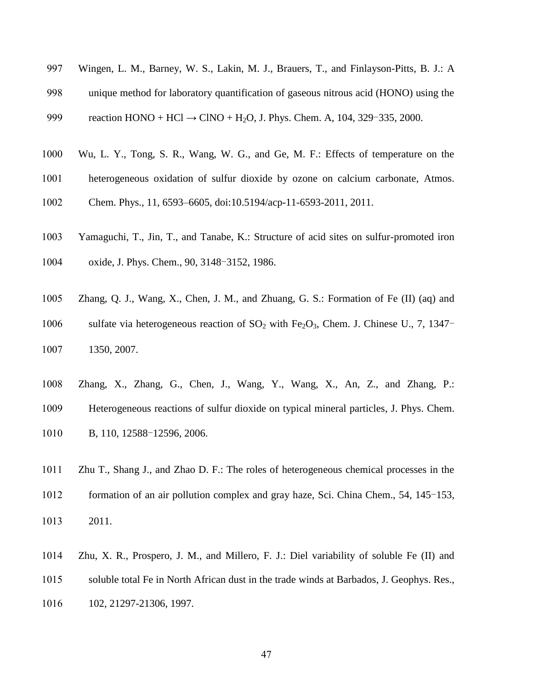- Wingen, L. M., Barney, W. S., Lakin, M. J., Brauers, T., and Finlayson-Pitts, B. J.: A
- unique method for laboratory quantification of gaseous nitrous acid (HONO) using the

999 reaction  $HONO + HCl \rightarrow ClNO + H<sub>2</sub>O$ , J. Phys. Chem. A, 104, 329-335, 2000.

- Wu, L. Y., Tong, S. R., Wang, W. G., and Ge, M. F.: Effects of temperature on the
- heterogeneous oxidation of sulfur dioxide by ozone on calcium carbonate, Atmos.
- Chem. Phys., 11, 6593–6605, doi:10.5194/acp-11-6593-2011, 2011.
- Yamaguchi, T., Jin, T., and Tanabe, K.: Structure of acid sites on sulfur-promoted iron
- oxide, J. Phys. Chem., 90, 3148-3152, 1986.
- Zhang, Q. J., Wang, X., Chen, J. M., and Zhuang, G. S.: Formation of Fe (II) (aq) and
- 1006 sulfate via heterogeneous reaction of  $SO_2$  with Fe<sub>2</sub>O<sub>3</sub>, Chem. J. Chinese U., 7, 1347-

1350, 2007.

- Zhang, X., Zhang, G., Chen, J., Wang, Y., Wang, X., An, Z., and Zhang, P.:
- Heterogeneous reactions of sulfur dioxide on typical mineral particles, J. Phys. Chem.
- 1010 B, 110, 12588-12596, 2006.
- Zhu T., Shang J., and Zhao D. F.: The roles of heterogeneous chemical processes in the
- formation of an air pollution complex and gray haze, Sci. China Chem., 54, 145-153,
- 2011.
- Zhu, X. R., Prospero, J. M., and Millero, F. J.: Diel variability of soluble Fe (II) and
- soluble total Fe in North African dust in the trade winds at Barbados, J. Geophys. Res.,
- 102, 21297-21306, 1997.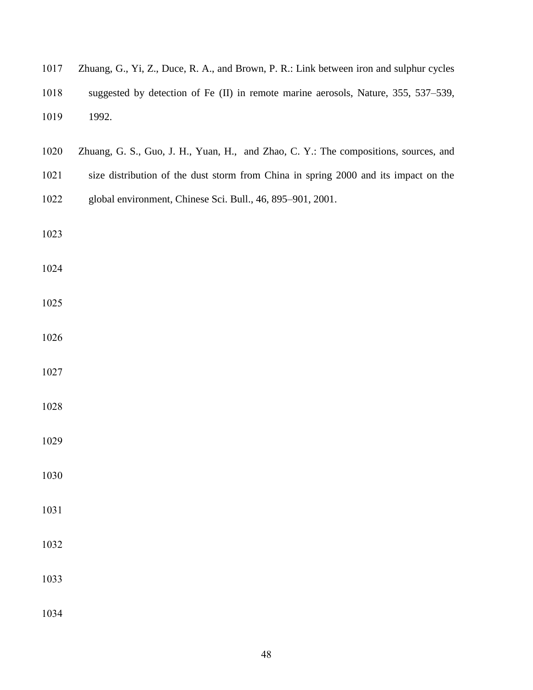| 1017 | Zhuang, G., Yi, Z., Duce, R. A., and Brown, P. R.: Link between iron and sulphur cycles |
|------|-----------------------------------------------------------------------------------------|
| 1018 | suggested by detection of Fe (II) in remote marine aerosols, Nature, 355, 537–539,      |
| 1019 | 1992.                                                                                   |
| 1020 | Zhuang, G. S., Guo, J. H., Yuan, H., and Zhao, C. Y.: The compositions, sources, and    |
| 1021 | size distribution of the dust storm from China in spring 2000 and its impact on the     |
| 1022 | global environment, Chinese Sci. Bull., 46, 895-901, 2001.                              |
| 1023 |                                                                                         |
| 1024 |                                                                                         |
| 1025 |                                                                                         |
| 1026 |                                                                                         |
| 1027 |                                                                                         |
| 1028 |                                                                                         |
| 1029 |                                                                                         |
| 1030 |                                                                                         |
| 1031 |                                                                                         |
| 1032 |                                                                                         |
| 1033 |                                                                                         |
| 1034 |                                                                                         |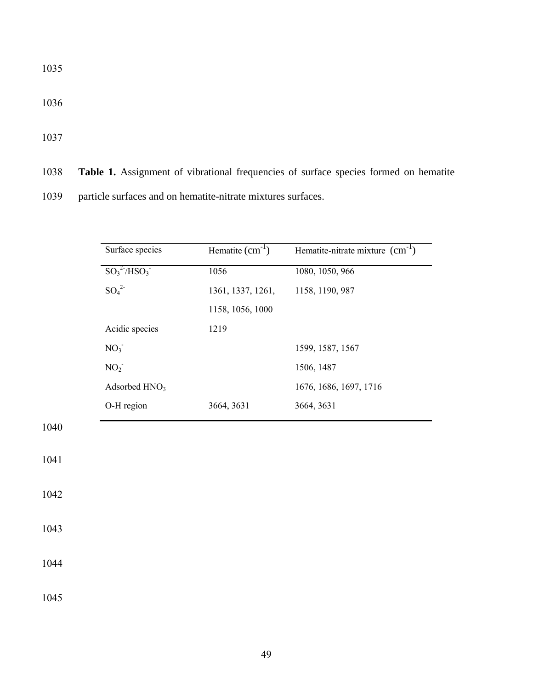1036

1037

1040

1041

1042

1043

1044

1045

|  |  |  | 1038 Table 1. Assignment of vibrational frequencies of surface species formed on hematite |  |  |  |  |  |  |
|--|--|--|-------------------------------------------------------------------------------------------|--|--|--|--|--|--|
|--|--|--|-------------------------------------------------------------------------------------------|--|--|--|--|--|--|

1039 particle surfaces and on hematite-nitrate mixtures surfaces.

| $\overline{SO_3^2$ <sup>2-</sup> /HSO <sub>3</sub><br>1056<br>1080, 1050, 966<br>$SO_4^2$<br>1158, 1190, 987<br>1361, 1337, 1261,<br>1158, 1056, 1000<br>Acidic species<br>1219<br>NO <sub>3</sub><br>1599, 1587, 1567<br>NO <sub>2</sub><br>1506, 1487<br>Adsorbed HNO <sub>3</sub><br>1676, 1686, 1697, 1716 | 3664, 3631<br>3664, 3631 | Surface species | Hematite $\overline{(cm^{-1})}$ | Hematite-nitrate mixture $\overline{(cm^{-1})}$ |
|----------------------------------------------------------------------------------------------------------------------------------------------------------------------------------------------------------------------------------------------------------------------------------------------------------------|--------------------------|-----------------|---------------------------------|-------------------------------------------------|
|                                                                                                                                                                                                                                                                                                                |                          |                 |                                 |                                                 |
|                                                                                                                                                                                                                                                                                                                |                          |                 |                                 |                                                 |
|                                                                                                                                                                                                                                                                                                                |                          |                 |                                 |                                                 |
|                                                                                                                                                                                                                                                                                                                |                          |                 |                                 |                                                 |
|                                                                                                                                                                                                                                                                                                                |                          |                 |                                 |                                                 |
|                                                                                                                                                                                                                                                                                                                |                          |                 |                                 |                                                 |
|                                                                                                                                                                                                                                                                                                                |                          |                 |                                 |                                                 |
| O-H region                                                                                                                                                                                                                                                                                                     |                          |                 |                                 |                                                 |
|                                                                                                                                                                                                                                                                                                                |                          |                 |                                 |                                                 |
|                                                                                                                                                                                                                                                                                                                |                          |                 |                                 |                                                 |
|                                                                                                                                                                                                                                                                                                                |                          |                 |                                 |                                                 |
|                                                                                                                                                                                                                                                                                                                |                          |                 |                                 |                                                 |
|                                                                                                                                                                                                                                                                                                                |                          |                 |                                 |                                                 |
|                                                                                                                                                                                                                                                                                                                |                          |                 |                                 |                                                 |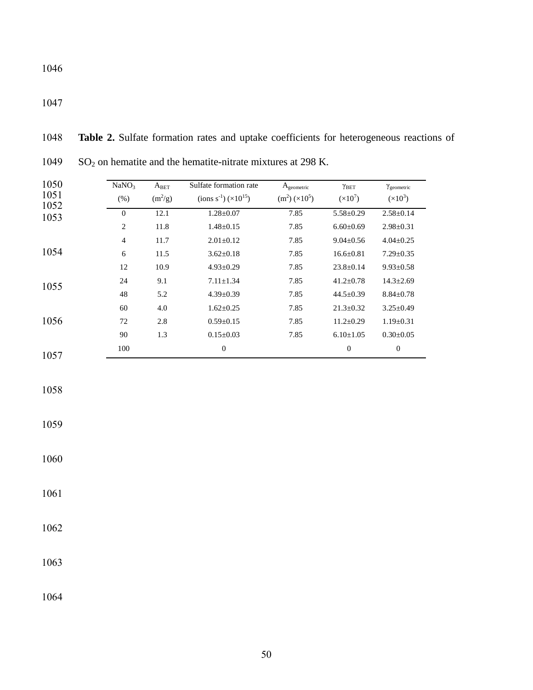SO<sup>2</sup> on hematite and the hematite-nitrate mixtures at 298 K. NaNO<sub>3</sub> (%)  $\mathbf{A}_{\text{BET}}$  $(m^2/g)$ Sulfate formation rate  $(ions s<sup>-1</sup>) (\times 10<sup>15</sup>)$  $\mathbf{A}_{\text{geometric}}$  $(m^2) (\times 10^5)$ γBET  $(x10^7)$ γgeometric  $(x10^3)$ 0 12.1 1.28 $\pm$ 0.07 7.85 5.58 $\pm$ 0.29 2.58 $\pm$ 0.14 2 11.8 1.48±0.15 7.85 6.60±0.69 2.98±0.31 11.7 2.01±0.12 7.85 9.04±0.56 4.04±0.25 11.5 3.62±0.18 7.85 16.6±0.81 7.29±0.35 12 10.9 4.93 $\pm$ 0.29 7.85 23.8 $\pm$ 0.14 9.93 $\pm$ 0.58 24 9.1 7.11±1.34 7.85 41.2±0.78 14.3±2.69 5.2 4.39±0.39 7.85 44.5±0.39 8.84±0.78 4.0 1.62±0.25 7.85 21.3±0.32 3.25±0.49 2.8 0.59±0.15 7.85 11.2±0.29 1.19±0.31 1.3 0.15±0.03 7.85 6.10±1.05 0.30±0.05 0 0 0

**Table 2.** Sulfate formation rates and uptake coefficients for heterogeneous reactions of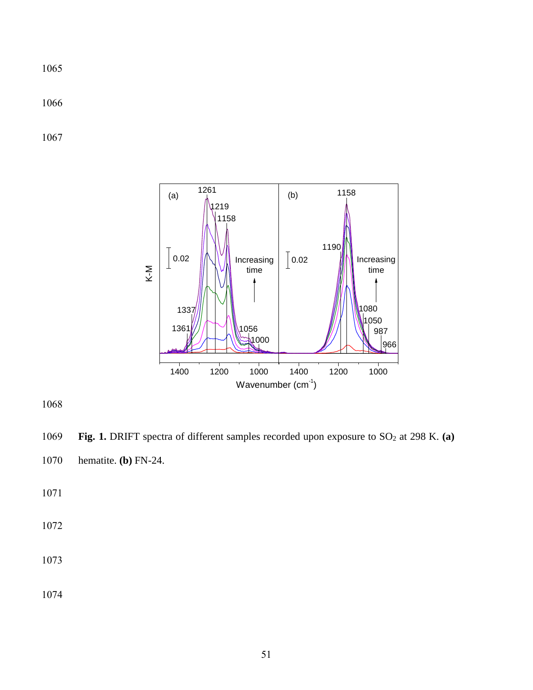

1069 **Fig. 1.** DRIFT spectra of different samples recorded upon exposure to SO<sub>2</sub> at 298 K. (a) hematite. **(b)** FN-24.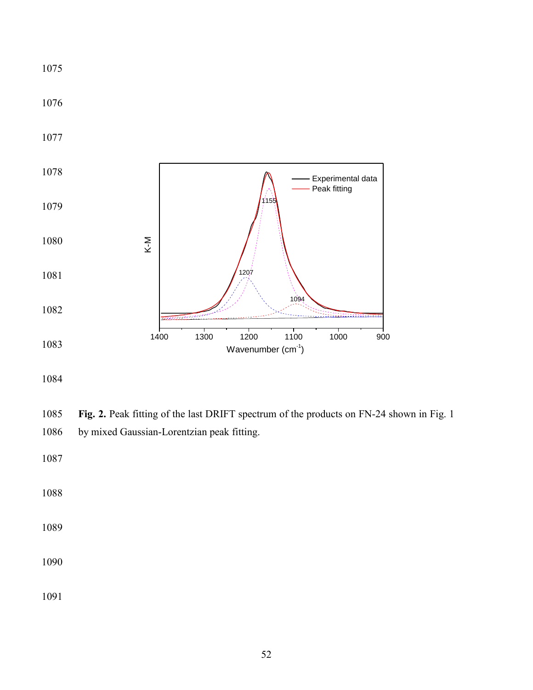

 **Fig. 2.** Peak fitting of the last DRIFT spectrum of the products on FN-24 shown in Fig. 1 by mixed Gaussian-Lorentzian peak fitting.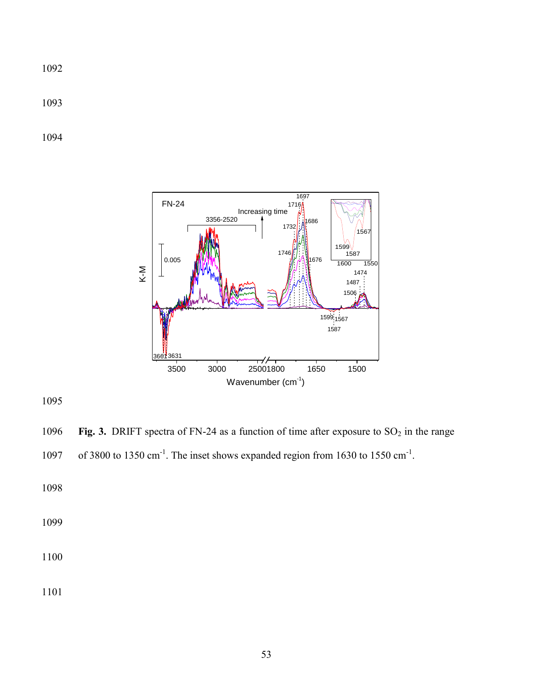

1096 **Fig. 3.** DRIFT spectra of FN-24 as a function of time after exposure to  $SO_2$  in the range

```
1097 of 3800 to 1350 cm<sup>-1</sup>. The inset shows expanded region from 1630 to 1550 cm<sup>-1</sup>.
```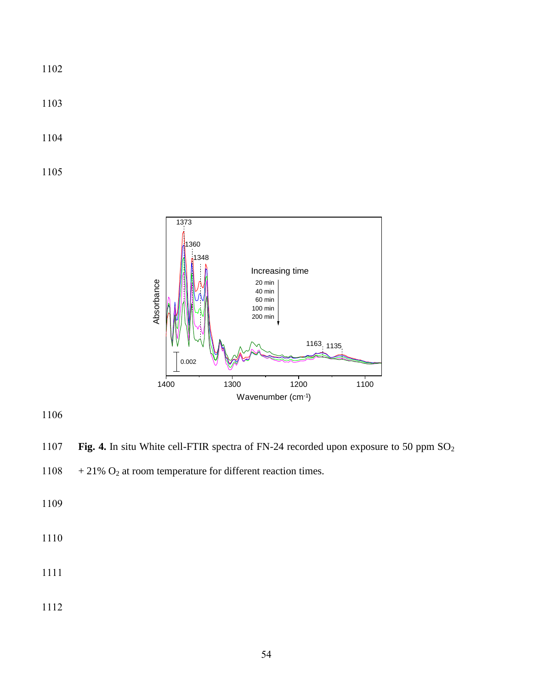1103

1104

1105



1106

1107 **Fig. 4.** In situ White cell-FTIR spectra of FN-24 recorded upon exposure to 50 ppm SO<sub>2</sub>

1108  $+21\%$  O<sub>2</sub> at room temperature for different reaction times.

1109

1110

1111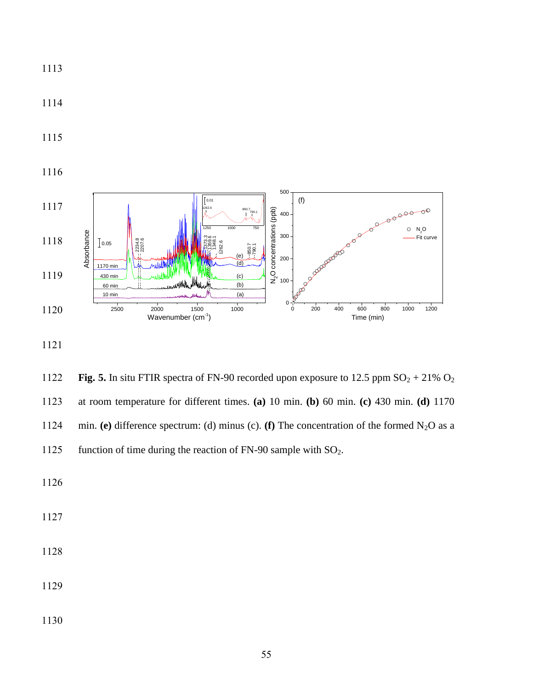



1114

1122 **Fig. 5.** In situ FTIR spectra of FN-90 recorded upon exposure to 12.5 ppm  $SO_2 + 21\% O_2$ 1123 at room temperature for different times. **(a)** 10 min. **(b)** 60 min. **(c)** 430 min. **(d)** 1170 1124 min. **(e)** difference spectrum: (d) minus (c). **(f)** The concentration of the formed  $N_2O$  as a 1125 function of time during the reaction of FN-90 sample with  $SO_2$ .

1126

1127

1128

1129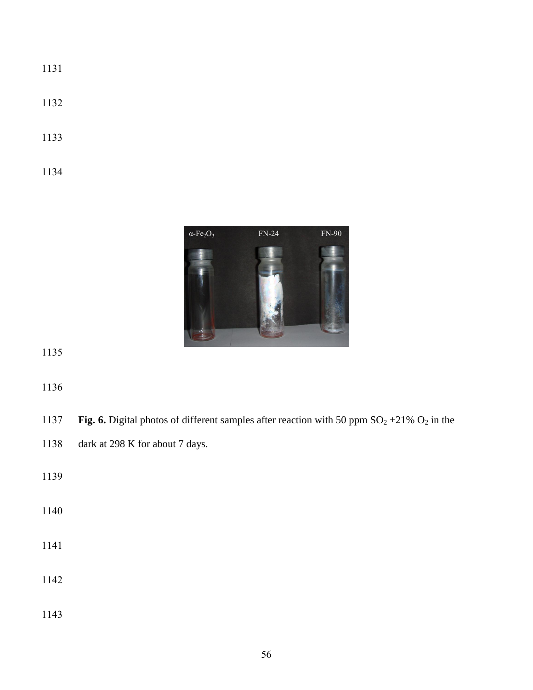- 
- 
- 



| 1137 | Fig. 6. Digital photos of different samples after reaction with 50 ppm $SO_2 + 21\% O_2$ in the |
|------|-------------------------------------------------------------------------------------------------|
| 1138 | dark at 298 K for about 7 days.                                                                 |
| 1139 |                                                                                                 |
| 1140 |                                                                                                 |
| 1141 |                                                                                                 |
| 1142 |                                                                                                 |
|      |                                                                                                 |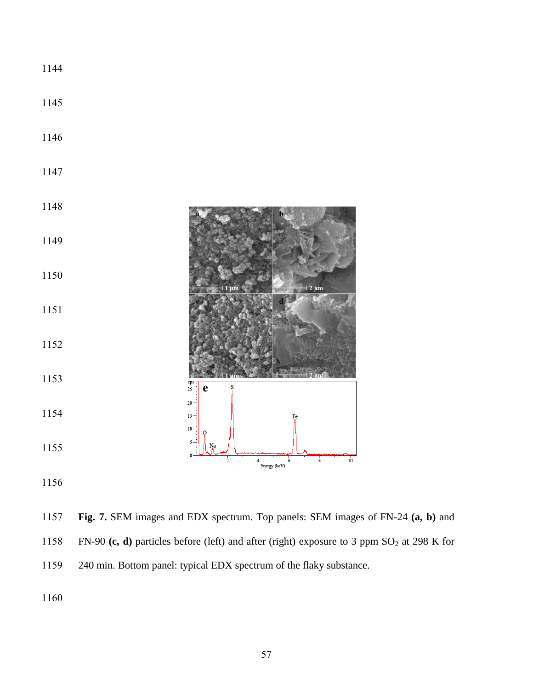

 **Fig. 7.** SEM images and EDX spectrum. Top panels: SEM images of FN-24 **(a, b)** and 1158 FN-90 (c, d) particles before (left) and after (right) exposure to 3 ppm SO<sub>2</sub> at 298 K for 240 min. Bottom panel: typical EDX spectrum of the flaky substance.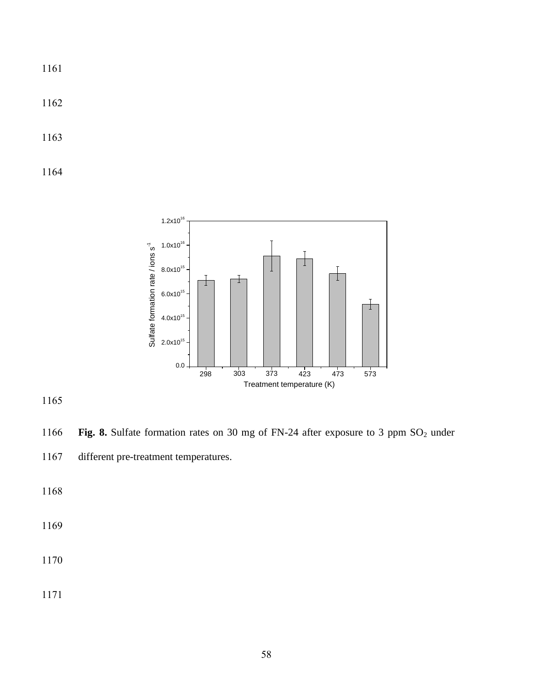1162

1163

1164



1165

1166 **Fig. 8.** Sulfate formation rates on 30 mg of FN-24 after exposure to 3 ppm SO<sub>2</sub> under 1167 different pre-treatment temperatures.

1168

1169

1170